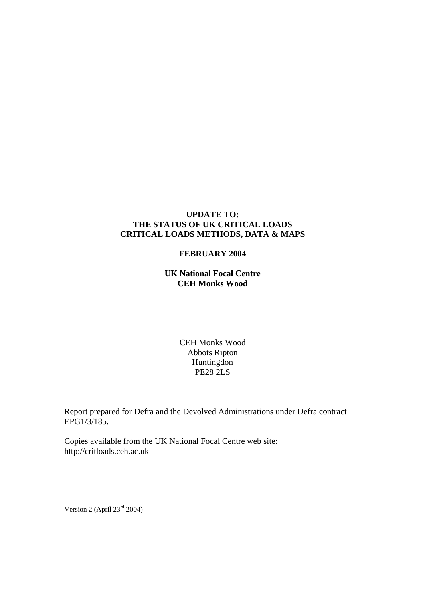#### **UPDATE TO: THE STATUS OF UK CRITICAL LOADS CRITICAL LOADS METHODS, DATA & MAPS**

#### **FEBRUARY 2004**

**UK National Focal Centre CEH Monks Wood** 

> CEH Monks Wood Abbots Ripton Huntingdon PE28 2LS

Report prepared for Defra and the Devolved Administrations under Defra contract EPG1/3/185.

Copies available from the UK National Focal Centre web site: http://critloads.ceh.ac.uk

Version 2 (April 23rd 2004)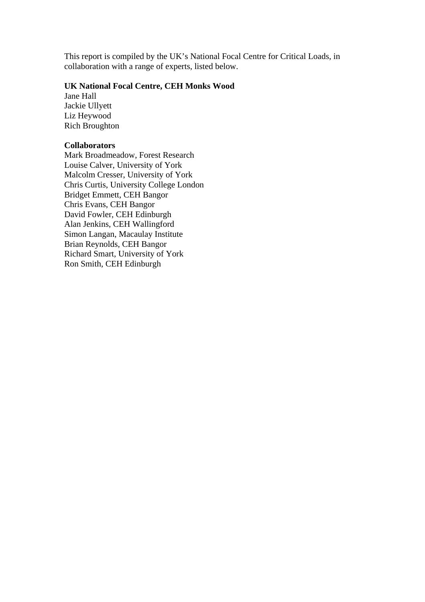This report is compiled by the UK's National Focal Centre for Critical Loads, in collaboration with a range of experts, listed below.

#### **UK National Focal Centre, CEH Monks Wood**

Jane Hall Jackie Ullyett Liz Heywood Rich Broughton

### **Collaborators**

Mark Broadmeadow, Forest Research Louise Calver, University of York Malcolm Cresser, University of York Chris Curtis, University College London Bridget Emmett, CEH Bangor Chris Evans, CEH Bangor David Fowler, CEH Edinburgh Alan Jenkins, CEH Wallingford Simon Langan, Macaulay Institute Brian Reynolds, CEH Bangor Richard Smart, University of York Ron Smith, CEH Edinburgh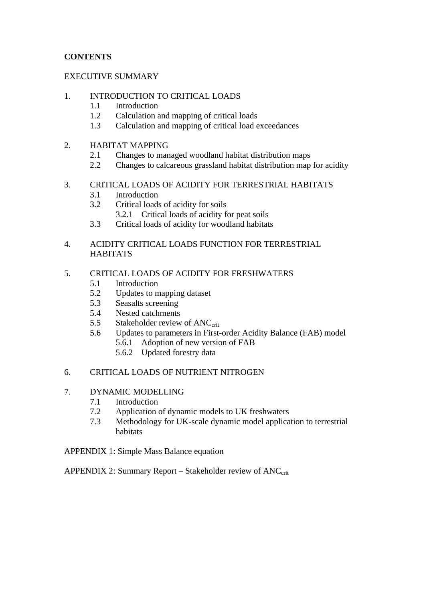## **CONTENTS**

### EXECUTIVE SUMMARY

### 1. INTRODUCTION TO CRITICAL LOADS

- 1.1 Introduction
- 1.2 Calculation and mapping of critical loads
- 1.3 Calculation and mapping of critical load exceedances

### 2. HABITAT MAPPING

- 2.1 Changes to managed woodland habitat distribution maps
- 2.2 Changes to calcareous grassland habitat distribution map for acidity

### 3. CRITICAL LOADS OF ACIDITY FOR TERRESTRIAL HABITATS

- 3.1 Introduction
- 3.2 Critical loads of acidity for soils
	- 3.2.1 Critical loads of acidity for peat soils
- 3.3 Critical loads of acidity for woodland habitats
- 4. ACIDITY CRITICAL LOADS FUNCTION FOR TERRESTRIAL **HABITATS**

### 5. CRITICAL LOADS OF ACIDITY FOR FRESHWATERS

- 5.1 Introduction
- 5.2 Updates to mapping dataset
- 5.3 Seasalts screening
- 5.4 Nested catchments
- 5.5 Stakeholder review of ANC<sub>crit</sub>
- 5.6 Updates to parameters in First-order Acidity Balance (FAB) model 5.6.1 Adoption of new version of FAB
	- 5.6.2 Updated forestry data

### 6. CRITICAL LOADS OF NUTRIENT NITROGEN

- 7. DYNAMIC MODELLING
	- 7.1 Introduction
	- 7.2 Application of dynamic models to UK freshwaters
	- 7.3 Methodology for UK-scale dynamic model application to terrestrial habitats

APPENDIX 1: Simple Mass Balance equation

APPENDIX 2: Summary Report – Stakeholder review of  $ANC<sub>crit</sub>$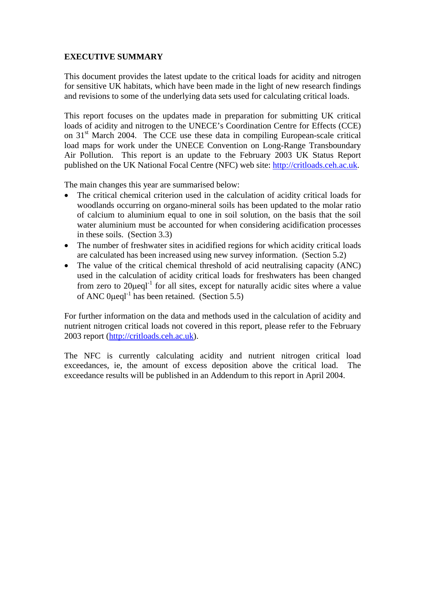### **EXECUTIVE SUMMARY**

This document provides the latest update to the critical loads for acidity and nitrogen for sensitive UK habitats, which have been made in the light of new research findings and revisions to some of the underlying data sets used for calculating critical loads.

This report focuses on the updates made in preparation for submitting UK critical loads of acidity and nitrogen to the UNECE's Coordination Centre for Effects (CCE) on 31<sup>st</sup> March 2004. The CCE use these data in compiling European-scale critical load maps for work under the UNECE Convention on Long-Range Transboundary Air Pollution. This report is an update to the February 2003 UK Status Report published on the UK National Focal Centre (NFC) web site: http://critloads.ceh.ac.uk.

The main changes this year are summarised below:

- The critical chemical criterion used in the calculation of acidity critical loads for woodlands occurring on organo-mineral soils has been updated to the molar ratio of calcium to aluminium equal to one in soil solution, on the basis that the soil water aluminium must be accounted for when considering acidification processes in these soils. (Section 3.3)
- The number of freshwater sites in acidified regions for which acidity critical loads are calculated has been increased using new survey information. (Section 5.2)
- The value of the critical chemical threshold of acid neutralising capacity (ANC) used in the calculation of acidity critical loads for freshwaters has been changed from zero to  $20\mu$ eql<sup>-1</sup> for all sites, except for naturally acidic sites where a value of ANC 0  $\mu$ eql<sup>-1</sup> has been retained. (Section 5.5)

For further information on the data and methods used in the calculation of acidity and nutrient nitrogen critical loads not covered in this report, please refer to the February 2003 report (http://critloads.ceh.ac.uk).

The NFC is currently calculating acidity and nutrient nitrogen critical load exceedances, ie, the amount of excess deposition above the critical load. The exceedance results will be published in an Addendum to this report in April 2004.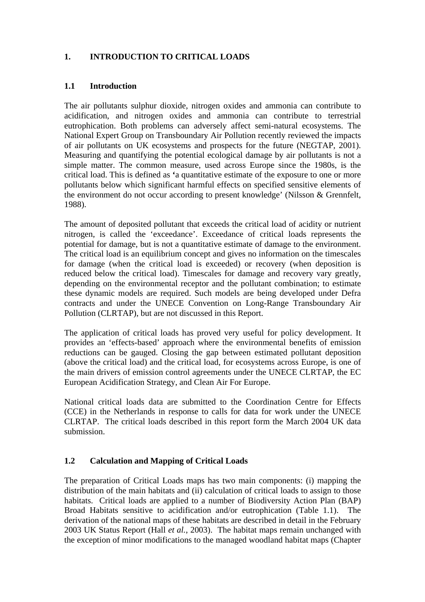## **1. INTRODUCTION TO CRITICAL LOADS**

### **1.1 Introduction**

The air pollutants sulphur dioxide, nitrogen oxides and ammonia can contribute to acidification, and nitrogen oxides and ammonia can contribute to terrestrial eutrophication. Both problems can adversely affect semi-natural ecosystems. The National Expert Group on Transboundary Air Pollution recently reviewed the impacts of air pollutants on UK ecosystems and prospects for the future (NEGTAP, 2001). Measuring and quantifying the potential ecological damage by air pollutants is not a simple matter. The common measure, used across Europe since the 1980s, is the critical load. This is defined as **'**a quantitative estimate of the exposure to one or more pollutants below which significant harmful effects on specified sensitive elements of the environment do not occur according to present knowledge' (Nilsson & Grennfelt, 1988).

The amount of deposited pollutant that exceeds the critical load of acidity or nutrient nitrogen, is called the 'exceedance'. Exceedance of critical loads represents the potential for damage, but is not a quantitative estimate of damage to the environment. The critical load is an equilibrium concept and gives no information on the timescales for damage (when the critical load is exceeded) or recovery (when deposition is reduced below the critical load). Timescales for damage and recovery vary greatly, depending on the environmental receptor and the pollutant combination; to estimate these dynamic models are required. Such models are being developed under Defra contracts and under the UNECE Convention on Long-Range Transboundary Air Pollution (CLRTAP), but are not discussed in this Report.

The application of critical loads has proved very useful for policy development. It provides an 'effects-based' approach where the environmental benefits of emission reductions can be gauged. Closing the gap between estimated pollutant deposition (above the critical load) and the critical load, for ecosystems across Europe, is one of the main drivers of emission control agreements under the UNECE CLRTAP, the EC European Acidification Strategy, and Clean Air For Europe.

National critical loads data are submitted to the Coordination Centre for Effects (CCE) in the Netherlands in response to calls for data for work under the UNECE CLRTAP. The critical loads described in this report form the March 2004 UK data submission.

### **1.2 Calculation and Mapping of Critical Loads**

The preparation of Critical Loads maps has two main components: (i) mapping the distribution of the main habitats and (ii) calculation of critical loads to assign to those habitats. Critical loads are applied to a number of Biodiversity Action Plan (BAP) Broad Habitats sensitive to acidification and/or eutrophication (Table 1.1). The derivation of the national maps of these habitats are described in detail in the February 2003 UK Status Report (Hall *et al.*, 2003). The habitat maps remain unchanged with the exception of minor modifications to the managed woodland habitat maps (Chapter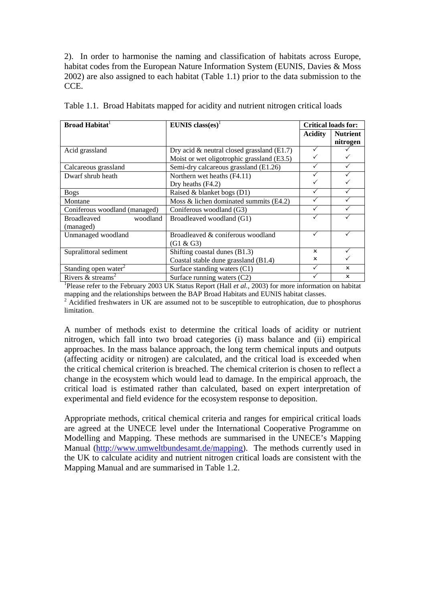2). In order to harmonise the naming and classification of habitats across Europe, habitat codes from the European Nature Information System (EUNIS, Davies & Moss 2002) are also assigned to each habitat (Table 1.1) prior to the data submission to the CCE.

| <b>Broad Habitat</b>            | EUNIS class(es) <sup>1</sup>                  | <b>Critical loads for:</b> |                 |
|---------------------------------|-----------------------------------------------|----------------------------|-----------------|
|                                 |                                               | Acidity                    | <b>Nutrient</b> |
|                                 |                                               |                            | nitrogen        |
| Acid grassland                  | Dry acid $\&$ neutral closed grassland (E1.7) |                            |                 |
|                                 | Moist or wet oligotrophic grassland (E3.5)    |                            |                 |
| Calcareous grassland            | Semi-dry calcareous grassland (E1.26)         |                            |                 |
| Dwarf shrub heath               | Northern wet heaths (F4.11)                   |                            |                 |
|                                 | Dry heaths $(F4.2)$                           |                            |                 |
| <b>Bogs</b>                     | Raised & blanket bogs (D1)                    |                            |                 |
| Montane                         | Moss & lichen dominated summits (E4.2)        |                            |                 |
| Coniferous woodland (managed)   | Coniferous woodland (G3)                      |                            |                 |
| <b>Broadleaved</b><br>woodland  | Broadleaved woodland (G1)                     |                            |                 |
| (managed)                       |                                               |                            |                 |
| Unmanaged woodland              | Broadleaved & coniferous woodland             |                            |                 |
|                                 | $(G1 \& G3)$                                  |                            |                 |
| Supralittoral sediment          | Shifting coastal dunes (B1.3)                 | $\mathbf{x}$               |                 |
|                                 | Coastal stable dune grassland (B1.4)          | $\mathsf{x}$               |                 |
| Standing open water $\epsilon$  | Surface standing waters (C1)                  | ✓                          | $\mathbf x$     |
| Rivers $&$ streams <sup>2</sup> | Surface running waters (C2)                   |                            | $\mathbf x$     |

Table 1.1. Broad Habitats mapped for acidity and nutrient nitrogen critical loads

<sup>1</sup>Please refer to the February 2003 UK Status Report (Hall *et al.*, 2003) for more information on habitat mapping and the relationships between the BAP Broad Habitats and EUNIS habitat classes.

 $2^{2}$  Acidified freshwaters in UK are assumed not to be susceptible to eutrophication, due to phosphorus limitation.

A number of methods exist to determine the critical loads of acidity or nutrient nitrogen, which fall into two broad categories (i) mass balance and (ii) empirical approaches. In the mass balance approach, the long term chemical inputs and outputs (affecting acidity or nitrogen) are calculated, and the critical load is exceeded when the critical chemical criterion is breached. The chemical criterion is chosen to reflect a change in the ecosystem which would lead to damage. In the empirical approach, the critical load is estimated rather than calculated, based on expert interpretation of experimental and field evidence for the ecosystem response to deposition.

Appropriate methods, critical chemical criteria and ranges for empirical critical loads are agreed at the UNECE level under the International Cooperative Programme on Modelling and Mapping. These methods are summarised in the UNECE's Mapping Manual (http://www.umweltbundesamt.de/mapping). The methods currently used in the UK to calculate acidity and nutrient nitrogen critical loads are consistent with the Mapping Manual and are summarised in Table 1.2.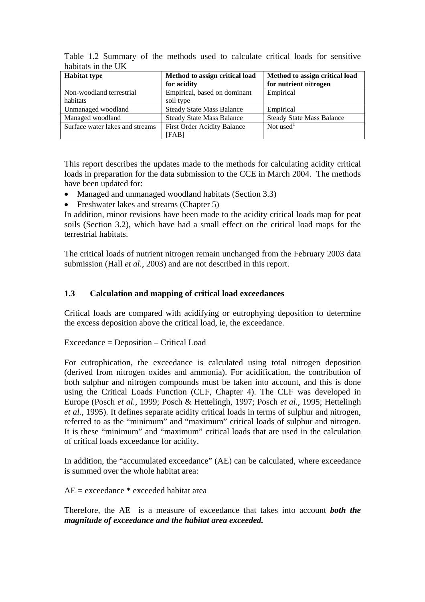| <b>Habitat type</b>             | Method to assign critical load<br>for acidity | Method to assign critical load<br>for nutrient nitrogen |
|---------------------------------|-----------------------------------------------|---------------------------------------------------------|
| Non-woodland terrestrial        | Empirical, based on dominant                  | Empirical                                               |
| habitats                        | soil type                                     |                                                         |
| Unmanaged woodland              | <b>Steady State Mass Balance</b>              | Empirical                                               |
| Managed woodland                | <b>Steady State Mass Balance</b>              | <b>Steady State Mass Balance</b>                        |
| Surface water lakes and streams | <b>First Order Acidity Balance</b>            | Not used <sup>1</sup>                                   |
|                                 | [FAB]                                         |                                                         |

Table 1.2 Summary of the methods used to calculate critical loads for sensitive habitats in the UK

This report describes the updates made to the methods for calculating acidity critical loads in preparation for the data submission to the CCE in March 2004. The methods have been updated for:

- Managed and unmanaged woodland habitats (Section 3.3)
- Freshwater lakes and streams (Chapter 5)

In addition, minor revisions have been made to the acidity critical loads map for peat soils (Section 3.2), which have had a small effect on the critical load maps for the terrestrial habitats.

The critical loads of nutrient nitrogen remain unchanged from the February 2003 data submission (Hall *et al.*, 2003) and are not described in this report.

### **1.3 Calculation and mapping of critical load exceedances**

Critical loads are compared with acidifying or eutrophying deposition to determine the excess deposition above the critical load, ie, the exceedance.

Exceedance = Deposition – Critical Load

For eutrophication, the exceedance is calculated using total nitrogen deposition (derived from nitrogen oxides and ammonia). For acidification, the contribution of both sulphur and nitrogen compounds must be taken into account, and this is done using the Critical Loads Function (CLF, Chapter 4). The CLF was developed in Europe (Posch *et al.*, 1999; Posch & Hettelingh, 1997; Posch *et al.*, 1995; Hettelingh *et al.*, 1995). It defines separate acidity critical loads in terms of sulphur and nitrogen, referred to as the "minimum" and "maximum" critical loads of sulphur and nitrogen. It is these "minimum" and "maximum" critical loads that are used in the calculation of critical loads exceedance for acidity.

In addition, the "accumulated exceedance" (AE) can be calculated, where exceedance is summed over the whole habitat area:

 $AE =$  exceedance  $*$  exceeded habitat area

Therefore, the AE is a measure of exceedance that takes into account *both the magnitude of exceedance and the habitat area exceeded.*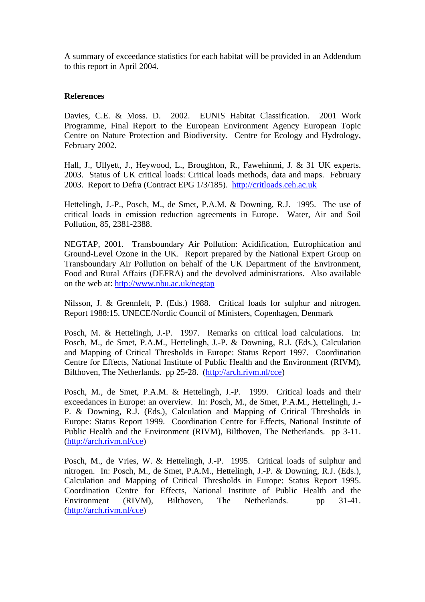A summary of exceedance statistics for each habitat will be provided in an Addendum to this report in April 2004.

#### **References**

Davies, C.E. & Moss. D. 2002. EUNIS Habitat Classification. 2001 Work Programme, Final Report to the European Environment Agency European Topic Centre on Nature Protection and Biodiversity. Centre for Ecology and Hydrology, February 2002.

Hall, J., Ullyett, J., Heywood, L., Broughton, R., Fawehinmi, J. & 31 UK experts. 2003. Status of UK critical loads: Critical loads methods, data and maps. February 2003. Report to Defra (Contract EPG 1/3/185). http://critloads.ceh.ac.uk

Hettelingh, J.-P., Posch, M., de Smet, P.A.M. & Downing, R.J. 1995. The use of critical loads in emission reduction agreements in Europe. Water, Air and Soil Pollution, 85, 2381-2388.

NEGTAP, 2001. Transboundary Air Pollution: Acidification, Eutrophication and Ground-Level Ozone in the UK. Report prepared by the National Expert Group on Transboundary Air Pollution on behalf of the UK Department of the Environment, Food and Rural Affairs (DEFRA) and the devolved administrations. Also available on the web at: http://www.nbu.ac.uk/negtap

Nilsson, J. & Grennfelt, P. (Eds.) 1988. Critical loads for sulphur and nitrogen. Report 1988:15. UNECE/Nordic Council of Ministers, Copenhagen, Denmark

Posch, M. & Hettelingh, J.-P. 1997. Remarks on critical load calculations. In: Posch, M., de Smet, P.A.M., Hettelingh, J.-P. & Downing, R.J. (Eds.), Calculation and Mapping of Critical Thresholds in Europe: Status Report 1997. Coordination Centre for Effects, National Institute of Public Health and the Environment (RIVM), Bilthoven, The Netherlands. pp 25-28. (http://arch.rivm.nl/cce)

Posch, M., de Smet, P.A.M. & Hettelingh, J.-P. 1999. Critical loads and their exceedances in Europe: an overview. In: Posch, M., de Smet, P.A.M., Hettelingh, J.- P. & Downing, R.J. (Eds.), Calculation and Mapping of Critical Thresholds in Europe: Status Report 1999. Coordination Centre for Effects, National Institute of Public Health and the Environment (RIVM), Bilthoven, The Netherlands. pp 3-11. (http://arch.rivm.nl/cce)

Posch, M., de Vries, W. & Hettelingh, J.-P. 1995. Critical loads of sulphur and nitrogen. In: Posch, M., de Smet, P.A.M., Hettelingh, J.-P. & Downing, R.J. (Eds.), Calculation and Mapping of Critical Thresholds in Europe: Status Report 1995. Coordination Centre for Effects, National Institute of Public Health and the Environment (RIVM), Bilthoven, The Netherlands. pp 31-41. (http://arch.rivm.nl/cce)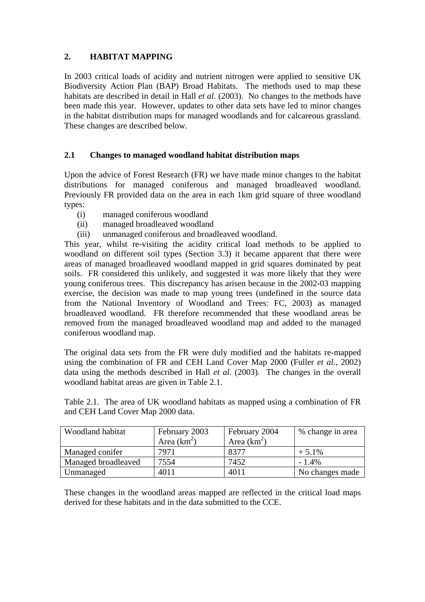## **2. HABITAT MAPPING**

In 2003 critical loads of acidity and nutrient nitrogen were applied to sensitive UK Biodiversity Action Plan (BAP) Broad Habitats. The methods used to map these habitats are described in detail in Hall *et al.* (2003). No changes to the methods have been made this year. However, updates to other data sets have led to minor changes in the habitat distribution maps for managed woodlands and for calcareous grassland. These changes are described below.

### **2.1 Changes to managed woodland habitat distribution maps**

Upon the advice of Forest Research (FR) we have made minor changes to the habitat distributions for managed coniferous and managed broadleaved woodland. Previously FR provided data on the area in each 1km grid square of three woodland types:

- (i) managed coniferous woodland
- (ii) managed broadleaved woodland
- (iii) unmanaged coniferous and broadleaved woodland.

This year, whilst re-visiting the acidity critical load methods to be applied to woodland on different soil types (Section 3.3) it became apparent that there were areas of managed broadleaved woodland mapped in grid squares dominated by peat soils. FR considered this unlikely, and suggested it was more likely that they were young coniferous trees. This discrepancy has arisen because in the 2002-03 mapping exercise, the decision was made to map young trees (undefined in the source data from the National Inventory of Woodland and Trees: FC, 2003) as managed broadleaved woodland. FR therefore recommended that these woodland areas be removed from the managed broadleaved woodland map and added to the managed coniferous woodland map.

The original data sets from the FR were duly modified and the habitats re-mapped using the combination of FR and CEH Land Cover Map 2000 (Fuller *et al.*, 2002) data using the methods described in Hall *et al.* (2003). The changes in the overall woodland habitat areas are given in Table 2.1.

Table 2.1. The area of UK woodland habitats as mapped using a combination of FR and CEH Land Cover Map 2000 data.

| Woodland habitat    | February 2003 | February 2004 | % change in area |
|---------------------|---------------|---------------|------------------|
|                     | Area $(km^2)$ | Area $(km^2)$ |                  |
| Managed conifer     | 7971          | 8377          | $+5.1\%$         |
| Managed broadleaved | 7554          | 7452          | $-1.4%$          |
| Unmanaged           | 4011          | 4011          | No changes made  |

These changes in the woodland areas mapped are reflected in the critical load maps derived for these habitats and in the data submitted to the CCE.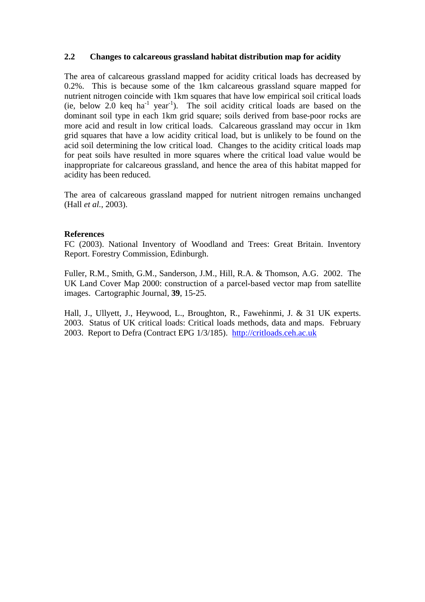### **2.2 Changes to calcareous grassland habitat distribution map for acidity**

The area of calcareous grassland mapped for acidity critical loads has decreased by 0.2%. This is because some of the 1km calcareous grassland square mapped for nutrient nitrogen coincide with 1km squares that have low empirical soil critical loads  $(ie, below 2.0 \text{ keq } ha^{-1}$  year<sup>-1</sup>). The soil acidity critical loads are based on the dominant soil type in each 1km grid square; soils derived from base-poor rocks are more acid and result in low critical loads. Calcareous grassland may occur in 1km grid squares that have a low acidity critical load, but is unlikely to be found on the acid soil determining the low critical load. Changes to the acidity critical loads map for peat soils have resulted in more squares where the critical load value would be inappropriate for calcareous grassland, and hence the area of this habitat mapped for acidity has been reduced.

The area of calcareous grassland mapped for nutrient nitrogen remains unchanged (Hall *et al.*, 2003).

#### **References**

FC (2003). National Inventory of Woodland and Trees: Great Britain. Inventory Report. Forestry Commission, Edinburgh.

Fuller, R.M., Smith, G.M., Sanderson, J.M., Hill, R.A. & Thomson, A.G. 2002. The UK Land Cover Map 2000: construction of a parcel-based vector map from satellite images. Cartographic Journal, **39**, 15-25.

Hall, J., Ullyett, J., Heywood, L., Broughton, R., Fawehinmi, J. & 31 UK experts. 2003. Status of UK critical loads: Critical loads methods, data and maps. February 2003. Report to Defra (Contract EPG 1/3/185). http://critloads.ceh.ac.uk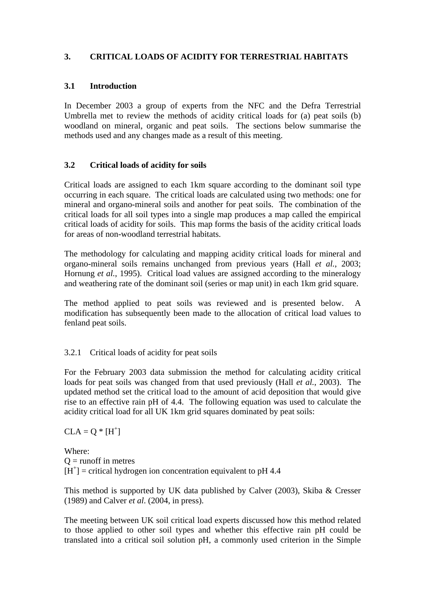## **3. CRITICAL LOADS OF ACIDITY FOR TERRESTRIAL HABITATS**

### **3.1 Introduction**

In December 2003 a group of experts from the NFC and the Defra Terrestrial Umbrella met to review the methods of acidity critical loads for (a) peat soils (b) woodland on mineral, organic and peat soils. The sections below summarise the methods used and any changes made as a result of this meeting.

### **3.2 Critical loads of acidity for soils**

Critical loads are assigned to each 1km square according to the dominant soil type occurring in each square. The critical loads are calculated using two methods: one for mineral and organo-mineral soils and another for peat soils. The combination of the critical loads for all soil types into a single map produces a map called the empirical critical loads of acidity for soils. This map forms the basis of the acidity critical loads for areas of non-woodland terrestrial habitats.

The methodology for calculating and mapping acidity critical loads for mineral and organo-mineral soils remains unchanged from previous years (Hall *et al.*, 2003; Hornung *et al.*, 1995). Critical load values are assigned according to the mineralogy and weathering rate of the dominant soil (series or map unit) in each 1km grid square.

The method applied to peat soils was reviewed and is presented below. A modification has subsequently been made to the allocation of critical load values to fenland peat soils.

### 3.2.1 Critical loads of acidity for peat soils

For the February 2003 data submission the method for calculating acidity critical loads for peat soils was changed from that used previously (Hall *et al.*, 2003). The updated method set the critical load to the amount of acid deposition that would give rise to an effective rain pH of 4.4. The following equation was used to calculate the acidity critical load for all UK 1km grid squares dominated by peat soils:

 $CLA = Q * [H^+]$ 

Where:  $Q =$  runoff in metres  $[H^+]$  = critical hydrogen ion concentration equivalent to pH 4.4

This method is supported by UK data published by Calver (2003), Skiba & Cresser (1989) and Calver *et al*. (2004, in press).

The meeting between UK soil critical load experts discussed how this method related to those applied to other soil types and whether this effective rain pH could be translated into a critical soil solution pH, a commonly used criterion in the Simple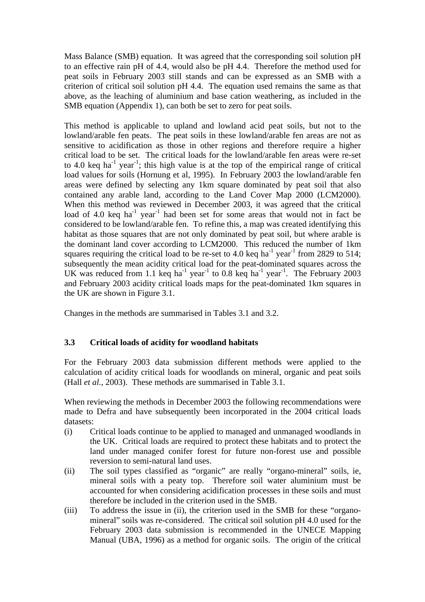Mass Balance (SMB) equation. It was agreed that the corresponding soil solution pH to an effective rain pH of 4.4, would also be pH 4.4. Therefore the method used for peat soils in February 2003 still stands and can be expressed as an SMB with a criterion of critical soil solution pH 4.4. The equation used remains the same as that above, as the leaching of aluminium and base cation weathering, as included in the SMB equation (Appendix 1), can both be set to zero for peat soils.

This method is applicable to upland and lowland acid peat soils, but not to the lowland/arable fen peats. The peat soils in these lowland/arable fen areas are not as sensitive to acidification as those in other regions and therefore require a higher critical load to be set. The critical loads for the lowland/arable fen areas were re-set to 4.0 keq ha<sup>-1</sup> year<sup>-1</sup>; this high value is at the top of the empirical range of critical load values for soils (Hornung et al, 1995). In February 2003 the lowland/arable fen areas were defined by selecting any 1km square dominated by peat soil that also contained any arable land, according to the Land Cover Map 2000 (LCM2000). When this method was reviewed in December 2003, it was agreed that the critical load of 4.0 keq ha<sup>-1</sup> year<sup>-1</sup> had been set for some areas that would not in fact be considered to be lowland/arable fen. To refine this, a map was created identifying this habitat as those squares that are not only dominated by peat soil, but where arable is the dominant land cover according to LCM2000. This reduced the number of 1km squares requiring the critical load to be re-set to 4.0 keq ha<sup>-1</sup> year<sup>-1</sup> from 2829 to 514; subsequently the mean acidity critical load for the peat-dominated squares across the UK was reduced from 1.1 keq ha<sup>-1</sup> year<sup>-1</sup> to 0.8 keq ha<sup>-1</sup> year<sup>-1</sup>. The February 2003 and February 2003 acidity critical loads maps for the peat-dominated 1km squares in the UK are shown in Figure 3.1.

Changes in the methods are summarised in Tables 3.1 and 3.2.

## **3.3 Critical loads of acidity for woodland habitats**

For the February 2003 data submission different methods were applied to the calculation of acidity critical loads for woodlands on mineral, organic and peat soils (Hall *et al.*, 2003). These methods are summarised in Table 3.1.

When reviewing the methods in December 2003 the following recommendations were made to Defra and have subsequently been incorporated in the 2004 critical loads datasets:

- (i) Critical loads continue to be applied to managed and unmanaged woodlands in the UK. Critical loads are required to protect these habitats and to protect the land under managed conifer forest for future non-forest use and possible reversion to semi-natural land uses.
- (ii) The soil types classified as "organic" are really "organo-mineral" soils, ie, mineral soils with a peaty top. Therefore soil water aluminium must be accounted for when considering acidification processes in these soils and must therefore be included in the criterion used in the SMB.
- (iii) To address the issue in (ii), the criterion used in the SMB for these "organomineral" soils was re-considered. The critical soil solution pH 4.0 used for the February 2003 data submission is recommended in the UNECE Mapping Manual (UBA, 1996) as a method for organic soils. The origin of the critical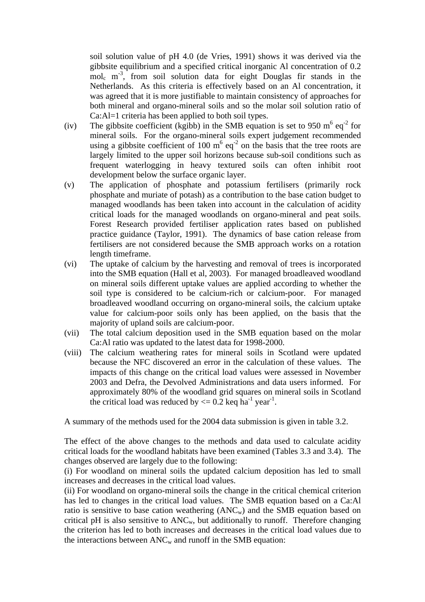soil solution value of pH 4.0 (de Vries, 1991) shows it was derived via the gibbsite equilibrium and a specified critical inorganic Al concentration of 0.2  $mol_c$  m<sup>-3</sup>, from soil solution data for eight Douglas fir stands in the Netherlands. As this criteria is effectively based on an Al concentration, it was agreed that it is more justifiable to maintain consistency of approaches for both mineral and organo-mineral soils and so the molar soil solution ratio of Ca:Al=1 criteria has been applied to both soil types.

- (iv) The gibbsite coefficient (kgibb) in the SMB equation is set to 950 m<sup>6</sup> eq<sup>-2</sup> for mineral soils. For the organo-mineral soils expert judgement recommended using a gibbsite coefficient of 100  $m^6$  eq<sup>-2</sup> on the basis that the tree roots are largely limited to the upper soil horizons because sub-soil conditions such as frequent waterlogging in heavy textured soils can often inhibit root development below the surface organic layer.
- (v) The application of phosphate and potassium fertilisers (primarily rock phosphate and muriate of potash) as a contribution to the base cation budget to managed woodlands has been taken into account in the calculation of acidity critical loads for the managed woodlands on organo-mineral and peat soils. Forest Research provided fertiliser application rates based on published practice guidance (Taylor, 1991). The dynamics of base cation release from fertilisers are not considered because the SMB approach works on a rotation length timeframe.
- (vi) The uptake of calcium by the harvesting and removal of trees is incorporated into the SMB equation (Hall et al, 2003). For managed broadleaved woodland on mineral soils different uptake values are applied according to whether the soil type is considered to be calcium-rich or calcium-poor. For managed broadleaved woodland occurring on organo-mineral soils, the calcium uptake value for calcium-poor soils only has been applied, on the basis that the majority of upland soils are calcium-poor.
- (vii) The total calcium deposition used in the SMB equation based on the molar Ca:Al ratio was updated to the latest data for 1998-2000.
- (viii) The calcium weathering rates for mineral soils in Scotland were updated because the NFC discovered an error in the calculation of these values. The impacts of this change on the critical load values were assessed in November 2003 and Defra, the Devolved Administrations and data users informed. For approximately 80% of the woodland grid squares on mineral soils in Scotland the critical load was reduced by  $\leq 0.2$  keq ha<sup>-1</sup> year<sup>-1</sup>.

A summary of the methods used for the 2004 data submission is given in table 3.2.

The effect of the above changes to the methods and data used to calculate acidity critical loads for the woodland habitats have been examined (Tables 3.3 and 3.4). The changes observed are largely due to the following:

(i) For woodland on mineral soils the updated calcium deposition has led to small increases and decreases in the critical load values.

(ii) For woodland on organo-mineral soils the change in the critical chemical criterion has led to changes in the critical load values. The SMB equation based on a Ca:Al ratio is sensitive to base cation weathering  $(ANC_w)$  and the SMB equation based on critical pH is also sensitive to  $ANC_w$ , but additionally to runoff. Therefore changing the criterion has led to both increases and decreases in the critical load values due to the interactions between  $ANC<sub>w</sub>$  and runoff in the SMB equation: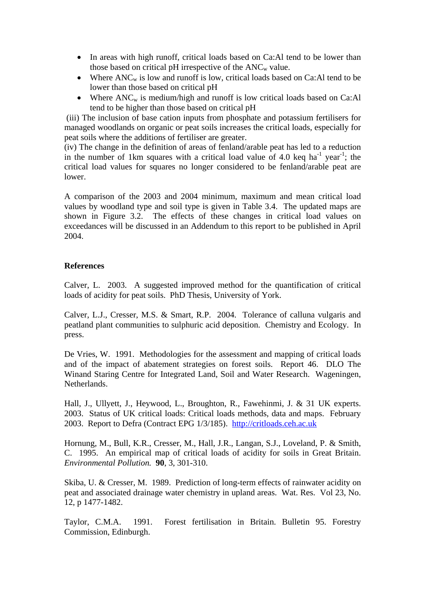- In areas with high runoff, critical loads based on Ca:Al tend to be lower than those based on critical pH irrespective of the  $ANC_w$  value.
- Where  $ANC_w$  is low and runoff is low, critical loads based on Ca:Al tend to be lower than those based on critical pH
- Where  $ANC_w$  is medium/high and runoff is low critical loads based on Ca:Al tend to be higher than those based on critical pH

 (iii) The inclusion of base cation inputs from phosphate and potassium fertilisers for managed woodlands on organic or peat soils increases the critical loads, especially for peat soils where the additions of fertiliser are greater.

(iv) The change in the definition of areas of fenland/arable peat has led to a reduction in the number of 1km squares with a critical load value of 4.0 keq ha<sup>-1</sup> year<sup>-1</sup>; the critical load values for squares no longer considered to be fenland/arable peat are lower.

A comparison of the 2003 and 2004 minimum, maximum and mean critical load values by woodland type and soil type is given in Table 3.4. The updated maps are shown in Figure 3.2. The effects of these changes in critical load values on exceedances will be discussed in an Addendum to this report to be published in April 2004.

#### **References**

Calver, L. 2003. A suggested improved method for the quantification of critical loads of acidity for peat soils. PhD Thesis, University of York.

Calver, L.J., Cresser, M.S. & Smart, R.P. 2004. Tolerance of calluna vulgaris and peatland plant communities to sulphuric acid deposition. Chemistry and Ecology. In press.

De Vries, W. 1991. Methodologies for the assessment and mapping of critical loads and of the impact of abatement strategies on forest soils. Report 46. DLO The Winand Staring Centre for Integrated Land, Soil and Water Research. Wageningen, **Netherlands** 

Hall, J., Ullyett, J., Heywood, L., Broughton, R., Fawehinmi, J. & 31 UK experts. 2003. Status of UK critical loads: Critical loads methods, data and maps. February 2003. Report to Defra (Contract EPG 1/3/185). http://critloads.ceh.ac.uk

Hornung, M., Bull, K.R., Cresser, M., Hall, J.R., Langan, S.J., Loveland, P. & Smith, C. 1995. An empirical map of critical loads of acidity for soils in Great Britain. *Environmental Pollution.* **90**, 3, 301-310.

Skiba, U. & Cresser, M. 1989. Prediction of long-term effects of rainwater acidity on peat and associated drainage water chemistry in upland areas. Wat. Res. Vol 23, No. 12, p 1477-1482.

Taylor, C.M.A. 1991. Forest fertilisation in Britain. Bulletin 95. Forestry Commission, Edinburgh.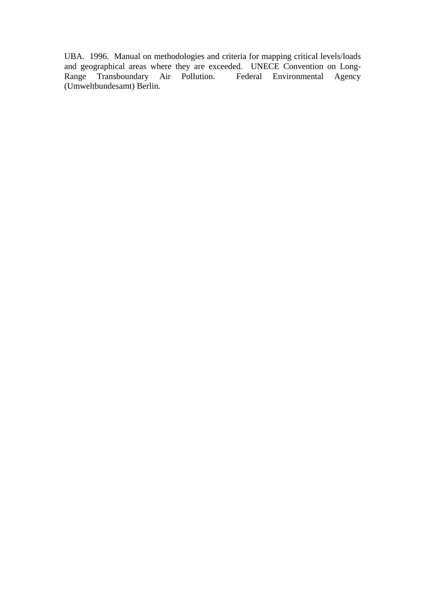UBA. 1996. Manual on methodologies and criteria for mapping critical levels/loads and geographical areas where they are exceeded. UNECE Convention on Long-Range Transboundary Air Pollution. Federal Environmental Agency (Umweltbundesamt) Berlin.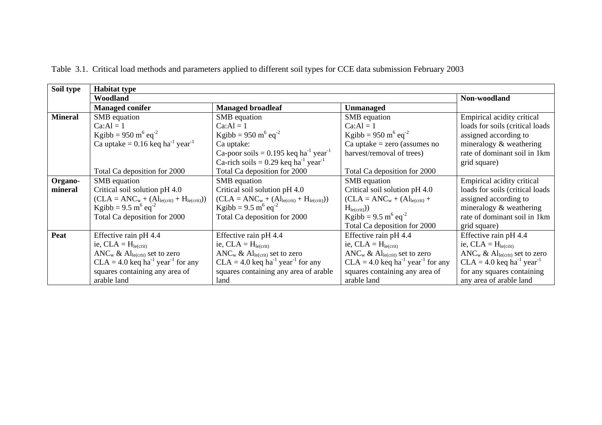| Soil type      | <b>Habitat type</b>                                         |                                                                 |                                                                                    |                                                     |
|----------------|-------------------------------------------------------------|-----------------------------------------------------------------|------------------------------------------------------------------------------------|-----------------------------------------------------|
|                | Woodland                                                    |                                                                 |                                                                                    | Non-woodland                                        |
|                | <b>Managed conifer</b>                                      | <b>Managed broadleaf</b>                                        | <b>Unmanaged</b>                                                                   |                                                     |
| <b>Mineral</b> | SMB equation                                                | SMB equation                                                    | SMB equation                                                                       | Empirical acidity critical                          |
|                | $Ca:Al = 1$                                                 | $Ca:Al = 1$                                                     | $Ca:Al = 1$                                                                        | loads for soils (critical loads                     |
|                | Kgibb = $950 \text{ m}^6 \text{ eq}^{-2}$                   | Kgibb = $950 \text{ m}^6 \text{ eq}^{-2}$                       | Kgibb = $950 \text{ m}^6 \text{ eq}^{-2}$                                          | assigned according to                               |
|                | Ca uptake = $0.16$ keq ha <sup>-1</sup> year <sup>-1</sup>  | Ca uptake:                                                      | Ca uptake $=$ zero (assumes no                                                     | mineralogy & weathering                             |
|                |                                                             | Ca-poor soils = $0.195$ keq ha <sup>-1</sup> year <sup>-1</sup> | harvest/removal of trees)                                                          | rate of dominant soil in 1km                        |
|                |                                                             | Ca-rich soils = $0.29$ keq ha <sup>-1</sup> year <sup>-1</sup>  |                                                                                    | grid square)                                        |
|                | Total Ca deposition for 2000                                | Total Ca deposition for 2000                                    | Total Ca deposition for 2000                                                       |                                                     |
| Organo-        | SMB equation                                                | SMB equation                                                    | SMB equation                                                                       | Empirical acidity critical                          |
| mineral        | Critical soil solution pH 4.0                               | Critical soil solution pH 4.0                                   | Critical soil solution pH 4.0                                                      | loads for soils (critical loads)                    |
|                | $(CLA = ANCw + (Alle(crit) + Hle(crit)))$                   | $(CLA = ANCw + (Alle(crit) + Hle(crit)))$                       | $CLA = ANC_w + (Al_{le(crit)} +$                                                   | assigned according to                               |
|                | Kgibb = $9.5 \text{ m}^6 \text{ eq}^{-2}$                   | Kgibb = $9.5 \text{ m}^6 \text{ eq}^{-2}$                       | $H_{le(crit)}$ )                                                                   | mineralogy & weathering                             |
|                | Total Ca deposition for 2000                                | Total Ca deposition for 2000                                    | Kgibb = $9.5 \text{ m}^6 \text{ eq}^{-2}$                                          | rate of dominant soil in 1km                        |
|                |                                                             |                                                                 | Total Ca deposition for 2000                                                       | grid square)                                        |
| Peat           | Effective rain pH 4.4                                       | Effective rain pH 4.4                                           | Effective rain pH 4.4                                                              | Effective rain pH 4.4                               |
|                | ie, $CLA = H_{le(crit)}$                                    | ie, $CLA = Hle(crit)$                                           | ie, $CLA = H_{le(crit)}$                                                           | ie, $CLA = H_{le(crit)}$                            |
|                | ANC <sub>w</sub> & Al <sub>le(crit)</sub> set to zero       | ANC <sub>w</sub> & Al <sub>le(crit)</sub> set to zero           | $\text{ANC}_{\text{w}} \& \text{ Al}_{\text{le}(\text{crit})} \text{ set to zero}$ | $ANC_w \& Al_{le(crit)}$ set to zero                |
|                | $CLA = 4.0$ keq ha <sup>-1</sup> year <sup>-1</sup> for any | $CLA = 4.0$ keq ha <sup>-1</sup> year <sup>-1</sup> for any     | $CLA = 4.0$ keq ha <sup>-1</sup> year <sup>-1</sup> for any                        | $CLA = 4.0$ keq ha <sup>-1</sup> year <sup>-1</sup> |
|                | squares containing any area of                              | squares containing any area of arable                           | squares containing any area of                                                     | for any squares containing                          |
|                | arable land                                                 | land                                                            | arable land                                                                        | any area of arable land                             |

Table 3.1. Critical load methods and parameters applied to different soil types for CCE data submission February 2003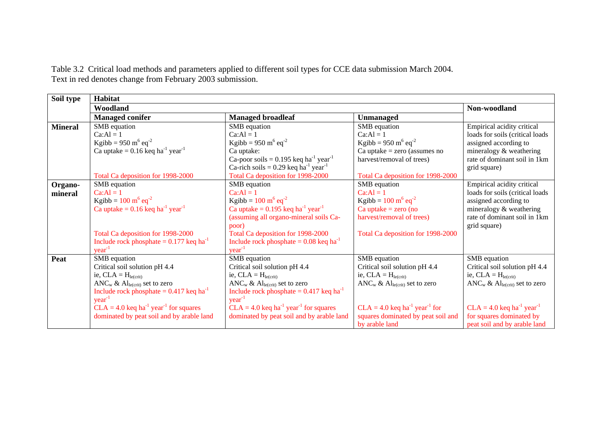Table 3.2 Critical load methods and parameters applied to different soil types for CCE data submission March 2004. Text in red denotes change from February 2003 submission.

| Soil type      | Habitat                                                         |                                                                 |                                                         |                                                       |
|----------------|-----------------------------------------------------------------|-----------------------------------------------------------------|---------------------------------------------------------|-------------------------------------------------------|
|                | Woodland                                                        |                                                                 |                                                         | Non-woodland                                          |
|                | <b>Managed conifer</b>                                          | <b>Managed broadleaf</b>                                        | <b>Unmanaged</b>                                        |                                                       |
| <b>Mineral</b> | SMB equation                                                    | SMB equation                                                    | SMB equation                                            | Empirical acidity critical                            |
|                | $Ca:Al = 1$                                                     | $Ca:Al = 1$                                                     | $Ca:AI = 1$                                             | loads for soils (critical loads                       |
|                | Kgibb = 950 m <sup>6</sup> eq <sup>-2</sup>                     | Kgibb = $950 \text{ m}^6 \text{ eq}^{-2}$                       | Kgibb = $950 \text{ m}^6 \text{ eq}^{-2}$               | assigned according to                                 |
|                | Ca uptake = $0.16$ keq ha <sup>-1</sup> year <sup>-1</sup>      | Ca uptake:                                                      | $Ca$ uptake = zero (assumes no                          | mineralogy & weathering                               |
|                |                                                                 | Ca-poor soils = $0.195$ keq ha <sup>-1</sup> year <sup>-1</sup> | harvest/removal of trees)                               | rate of dominant soil in 1km                          |
|                |                                                                 | Ca-rich soils = $0.29$ keq ha <sup>-1</sup> year <sup>-1</sup>  |                                                         | grid square)                                          |
|                | Total Ca deposition for 1998-2000                               | Total Ca deposition for 1998-2000                               | Total Ca deposition for 1998-2000                       |                                                       |
| Organo-        | SMB equation                                                    | SMB equation                                                    | SMB equation                                            | Empirical acidity critical                            |
| mineral        | $Ca:Al = 1$                                                     | $Ca:AI = 1$                                                     | $Ca:Al = 1$                                             | loads for soils (critical loads                       |
|                | Kgibb = $100 \text{ m}^6 \text{ eq}^{-2}$                       | Kgibb = $100 \text{ m}^6 \text{ eq}^{-2}$                       | Kgibb = $100 \text{ m}^6 \text{ eq}^{-2}$               | assigned according to                                 |
|                | Ca uptake = $0.16$ keq ha <sup>-1</sup> year <sup>-1</sup>      | Ca uptake = $0.195$ keq ha <sup>-1</sup> year <sup>-1</sup>     | $Ca$ uptake = zero (no                                  | mineralogy & weathering                               |
|                |                                                                 | (assuming all organo-mineral soils Ca-                          | harvest/removal of trees)                               | rate of dominant soil in 1km                          |
|                |                                                                 | poor)                                                           |                                                         | grid square)                                          |
|                | Total Ca deposition for 1998-2000                               | Total Ca deposition for 1998-2000                               | Total Ca deposition for 1998-2000                       |                                                       |
|                | Include rock phosphate = $0.177$ keq ha <sup>-1</sup>           | Include rock phosphate $= 0.08$ keq ha <sup>-1</sup>            |                                                         |                                                       |
|                | $year-1$                                                        | $year-1$                                                        |                                                         |                                                       |
| Peat           | SMB equation                                                    | SMB equation                                                    | SMB equation                                            | SMB equation                                          |
|                | Critical soil solution pH 4.4                                   | Critical soil solution pH 4.4                                   | Critical soil solution pH 4.4                           | Critical soil solution pH 4.4                         |
|                | ie, $CLA = H_{le(crit)}$                                        | ie, $CLA = Hle(crit)$                                           | ie, $CLA = Hle(crit)$                                   | ie, $CLA = H_{le(crit)}$                              |
|                | ANC <sub>w</sub> & Al <sub>le(crit)</sub> set to zero           | ANC <sub>w</sub> & Al <sub>le(crit)</sub> set to zero           | ANC <sub>w</sub> & Al <sub>le(crit)</sub> set to zero   | ANC <sub>w</sub> & Al <sub>le(crit)</sub> set to zero |
|                | Include rock phosphate = $0.417$ keq ha <sup>-1</sup>           | Include rock phosphate = $0.417$ keq ha <sup>-1</sup>           |                                                         |                                                       |
|                | $year^{-1}$                                                     | $year-1$                                                        |                                                         |                                                       |
|                | $CLA = 4.0$ keq ha <sup>-1</sup> year <sup>-1</sup> for squares | $CLA = 4.0$ keq ha <sup>-1</sup> year <sup>-1</sup> for squares | $CLA = 4.0$ keq ha <sup>-1</sup> year <sup>-1</sup> for | $CLA = 4.0$ keq ha <sup>-1</sup> year <sup>-1</sup>   |
|                | dominated by peat soil and by arable land                       | dominated by peat soil and by arable land                       | squares dominated by peat soil and                      | for squares dominated by                              |
|                |                                                                 |                                                                 | by arable land                                          | peat soil and by arable land                          |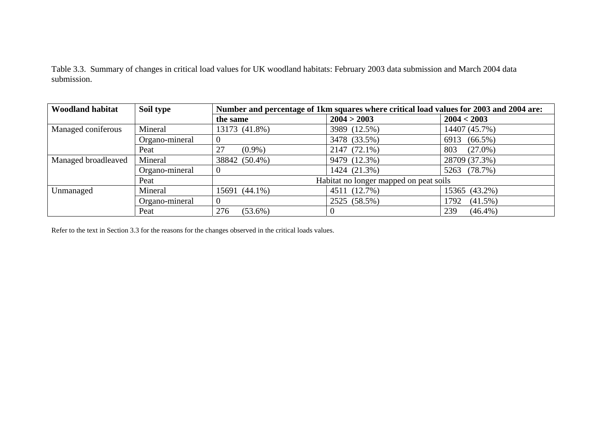Table 3.3. Summary of changes in critical load values for UK woodland habitats: February 2003 data submission and March 2004 data submission.

| <b>Woodland habitat</b> | Soil type      | Number and percentage of 1km squares where critical load values for 2003 and 2004 are: |                                        |                    |  |  |
|-------------------------|----------------|----------------------------------------------------------------------------------------|----------------------------------------|--------------------|--|--|
|                         |                | the same                                                                               | 2004 > 2003                            | 2004 < 2003        |  |  |
| Managed coniferous      | Mineral        | 13173 (41.8%)                                                                          | 3989 (12.5%)                           | 14407 (45.7%)      |  |  |
|                         | Organo-mineral | U                                                                                      | 3478 (33.5%)                           | 6913 (66.5%)       |  |  |
|                         | Peat           | 27<br>$(0.9\%)$                                                                        | 2147 (72.1%)                           | 803<br>$(27.0\%)$  |  |  |
| Managed broadleaved     | Mineral        | 38842 (50.4%)                                                                          | 9479 (12.3%)                           | 28709 (37.3%)      |  |  |
|                         | Organo-mineral |                                                                                        | 1424 (21.3%)                           | 5263 (78.7%)       |  |  |
|                         | Peat           |                                                                                        | Habitat no longer mapped on peat soils |                    |  |  |
| Unmanaged               | Mineral        | 15691 (44.1%)                                                                          | 4511 (12.7%)                           | 15365 (43.2%)      |  |  |
|                         | Organo-mineral |                                                                                        | 2525 (58.5%)                           | $(41.5\%)$<br>1792 |  |  |
|                         | Peat           | 276<br>$(53.6\%)$                                                                      | $\theta$                               | 239<br>$(46.4\%)$  |  |  |

Refer to the text in Section 3.3 for the reasons for the changes observed in the critical loads values.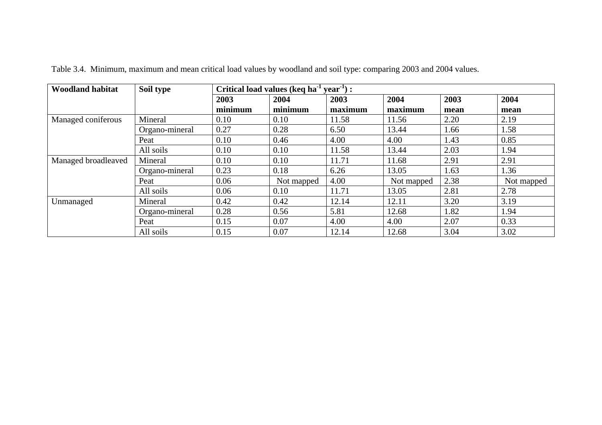| <b>Woodland habitat</b> | $year-1$ :<br>Soil type<br>Critical load values (keq ha <sup>-1</sup> |         |            |         |            |      |            |
|-------------------------|-----------------------------------------------------------------------|---------|------------|---------|------------|------|------------|
|                         |                                                                       | 2003    | 2004       | 2003    | 2004       | 2003 | 2004       |
|                         |                                                                       | minimum | minimum    | maximum | maximum    | mean | mean       |
| Managed coniferous      | Mineral                                                               | 0.10    | 0.10       | 11.58   | 11.56      | 2.20 | 2.19       |
|                         | Organo-mineral                                                        | 0.27    | 0.28       | 6.50    | 13.44      | 1.66 | 1.58       |
|                         | Peat                                                                  | 0.10    | 0.46       | 4.00    | 4.00       | 1.43 | 0.85       |
|                         | All soils                                                             | 0.10    | 0.10       | 11.58   | 13.44      | 2.03 | 1.94       |
| Managed broadleaved     | Mineral                                                               | 0.10    | 0.10       | 11.71   | 11.68      | 2.91 | 2.91       |
|                         | Organo-mineral                                                        | 0.23    | 0.18       | 6.26    | 13.05      | 1.63 | 1.36       |
|                         | Peat                                                                  | 0.06    | Not mapped | 4.00    | Not mapped | 2.38 | Not mapped |
|                         | All soils                                                             | 0.06    | 0.10       | 11.71   | 13.05      | 2.81 | 2.78       |
| Unmanaged               | Mineral                                                               | 0.42    | 0.42       | 12.14   | 12.11      | 3.20 | 3.19       |
|                         | Organo-mineral                                                        | 0.28    | 0.56       | 5.81    | 12.68      | 1.82 | 1.94       |
|                         | Peat                                                                  | 0.15    | 0.07       | 4.00    | 4.00       | 2.07 | 0.33       |
|                         | All soils                                                             | 0.15    | 0.07       | 12.14   | 12.68      | 3.04 | 3.02       |

Table 3.4. Minimum, maximum and mean critical load values by woodland and soil type: comparing 2003 and 2004 values.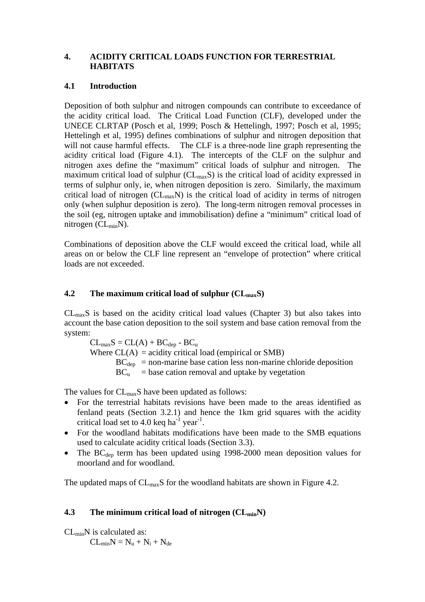### **4. ACIDITY CRITICAL LOADS FUNCTION FOR TERRESTRIAL HABITATS**

### **4.1 Introduction**

Deposition of both sulphur and nitrogen compounds can contribute to exceedance of the acidity critical load. The Critical Load Function (CLF), developed under the UNECE CLRTAP (Posch et al, 1999; Posch & Hettelingh, 1997; Posch et al, 1995; Hettelingh et al, 1995) defines combinations of sulphur and nitrogen deposition that will not cause harmful effects. The CLF is a three-node line graph representing the acidity critical load (Figure 4.1). The intercepts of the CLF on the sulphur and nitrogen axes define the "maximum" critical loads of sulphur and nitrogen. The maximum critical load of sulphur  $(CL_{max}S)$  is the critical load of acidity expressed in terms of sulphur only, ie, when nitrogen deposition is zero. Similarly, the maximum critical load of nitrogen  $(CL_{max}N)$  is the critical load of acidity in terms of nitrogen only (when sulphur deposition is zero). The long-term nitrogen removal processes in the soil (eg, nitrogen uptake and immobilisation) define a "minimum" critical load of nitrogen (CLminN).

Combinations of deposition above the CLF would exceed the critical load, while all areas on or below the CLF line represent an "envelope of protection" where critical loads are not exceeded.

### **4.2** The maximum critical load of sulphur  $(CL_{max}S)$

 $CL<sub>max</sub>S$  is based on the acidity critical load values (Chapter 3) but also takes into account the base cation deposition to the soil system and base cation removal from the system:

 $CL_{max}S = CL(A) + BC_{den} - BC_{u}$ 

Where  $CL(A) = \text{acidity critical load (empirical or SMB)}$ 

 $BC<sub>den</sub>$  = non-marine base cation less non-marine chloride deposition

 $BC<sub>u</sub>$  = base cation removal and uptake by vegetation

The values for  $CL_{max}S$  have been updated as follows:

- For the terrestrial habitats revisions have been made to the areas identified as fenland peats (Section 3.2.1) and hence the 1km grid squares with the acidity critical load set to 4.0 keq ha $^{-1}$  year<sup>-1</sup>.
- For the woodland habitats modifications have been made to the SMB equations used to calculate acidity critical loads (Section 3.3).
- The BC<sub>dep</sub> term has been updated using 1998-2000 mean deposition values for moorland and for woodland.

The updated maps of  $CL_{max}S$  for the woodland habitats are shown in Figure 4.2.

### **4.3** The minimum critical load of nitrogen (CL<sub>min</sub>N)

 $CL_{min}N$  is calculated as:

 $CL_{min}N = N_u + N_i + N_{de}$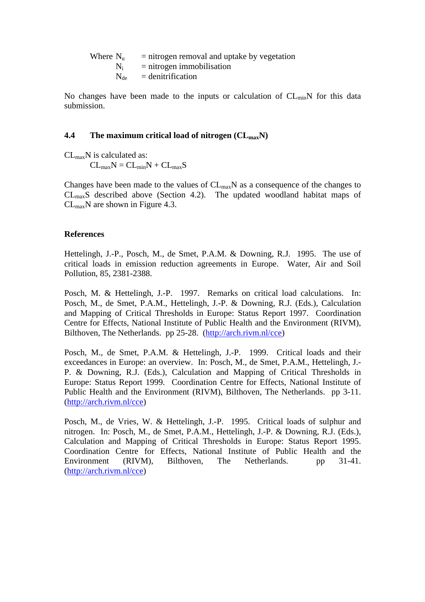| Where $N_{\rm u}$ | $=$ nitrogen removal and uptake by vegetation |
|-------------------|-----------------------------------------------|
|                   | $N_i$ = nitrogen immobilisation               |
|                   | $N_{de}$ = denitrification                    |

No changes have been made to the inputs or calculation of  $CL_{min}N$  for this data submission.

#### **4.4** The maximum critical load of nitrogen (CL<sub>max</sub>N)

 $CL_{max}N$  is calculated as:

 $CL_{max}N = CL_{min}N + CL_{max}S$ 

Changes have been made to the values of  $CL_{max}N$  as a consequence of the changes to  $CL<sub>max</sub>S$  described above (Section 4.2). The updated woodland habitat maps of  $CL_{max}N$  are shown in Figure 4.3.

### **References**

Hettelingh, J.-P., Posch, M., de Smet, P.A.M. & Downing, R.J. 1995. The use of critical loads in emission reduction agreements in Europe. Water, Air and Soil Pollution, 85, 2381-2388.

Posch, M. & Hettelingh, J.-P. 1997. Remarks on critical load calculations. In: Posch, M., de Smet, P.A.M., Hettelingh, J.-P. & Downing, R.J. (Eds.), Calculation and Mapping of Critical Thresholds in Europe: Status Report 1997. Coordination Centre for Effects, National Institute of Public Health and the Environment (RIVM), Bilthoven, The Netherlands. pp 25-28. (http://arch.rivm.nl/cce)

Posch, M., de Smet, P.A.M. & Hettelingh, J.-P. 1999. Critical loads and their exceedances in Europe: an overview. In: Posch, M., de Smet, P.A.M., Hettelingh, J.- P. & Downing, R.J. (Eds.), Calculation and Mapping of Critical Thresholds in Europe: Status Report 1999. Coordination Centre for Effects, National Institute of Public Health and the Environment (RIVM), Bilthoven, The Netherlands. pp 3-11. (http://arch.rivm.nl/cce)

Posch, M., de Vries, W. & Hettelingh, J.-P. 1995. Critical loads of sulphur and nitrogen. In: Posch, M., de Smet, P.A.M., Hettelingh, J.-P. & Downing, R.J. (Eds.), Calculation and Mapping of Critical Thresholds in Europe: Status Report 1995. Coordination Centre for Effects, National Institute of Public Health and the Environment (RIVM), Bilthoven, The Netherlands. pp 31-41. (http://arch.rivm.nl/cce)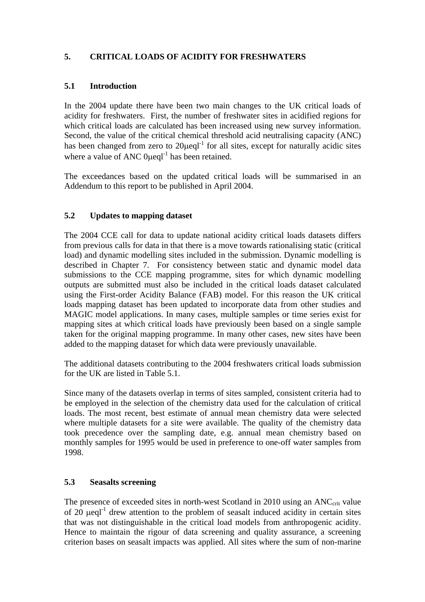## **5. CRITICAL LOADS OF ACIDITY FOR FRESHWATERS**

### **5.1 Introduction**

In the 2004 update there have been two main changes to the UK critical loads of acidity for freshwaters. First, the number of freshwater sites in acidified regions for which critical loads are calculated has been increased using new survey information. Second, the value of the critical chemical threshold acid neutralising capacity (ANC) has been changed from zero to  $20\mu$ eql<sup>-1</sup> for all sites, except for naturally acidic sites where a value of ANC  $0 \text{ueal}^{-1}$  has been retained.

The exceedances based on the updated critical loads will be summarised in an Addendum to this report to be published in April 2004.

## **5.2 Updates to mapping dataset**

The 2004 CCE call for data to update national acidity critical loads datasets differs from previous calls for data in that there is a move towards rationalising static (critical load) and dynamic modelling sites included in the submission. Dynamic modelling is described in Chapter 7. For consistency between static and dynamic model data submissions to the CCE mapping programme, sites for which dynamic modelling outputs are submitted must also be included in the critical loads dataset calculated using the First-order Acidity Balance (FAB) model. For this reason the UK critical loads mapping dataset has been updated to incorporate data from other studies and MAGIC model applications. In many cases, multiple samples or time series exist for mapping sites at which critical loads have previously been based on a single sample taken for the original mapping programme. In many other cases, new sites have been added to the mapping dataset for which data were previously unavailable.

The additional datasets contributing to the 2004 freshwaters critical loads submission for the UK are listed in Table 5.1.

Since many of the datasets overlap in terms of sites sampled, consistent criteria had to be employed in the selection of the chemistry data used for the calculation of critical loads. The most recent, best estimate of annual mean chemistry data were selected where multiple datasets for a site were available. The quality of the chemistry data took precedence over the sampling date, e.g. annual mean chemistry based on monthly samples for 1995 would be used in preference to one-off water samples from 1998.

### **5.3 Seasalts screening**

The presence of exceeded sites in north-west Scotland in 2010 using an ANC<sub>crit</sub> value of 20  $\mu$ eql<sup>-1</sup> drew attention to the problem of seasalt induced acidity in certain sites that was not distinguishable in the critical load models from anthropogenic acidity. Hence to maintain the rigour of data screening and quality assurance, a screening criterion bases on seasalt impacts was applied. All sites where the sum of non-marine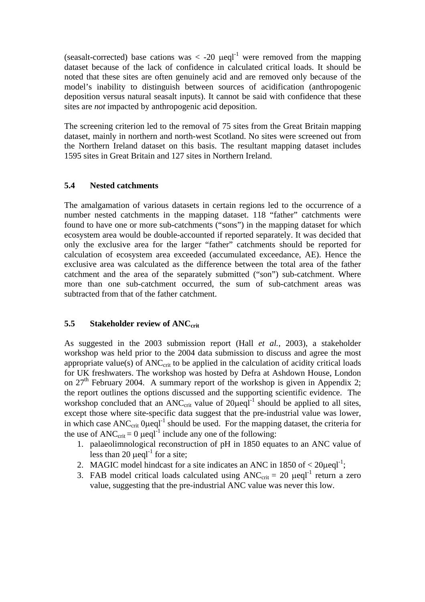(seasalt-corrected) base cations was  $\langle$  -20  $\mu$ eql<sup>-1</sup> were removed from the mapping dataset because of the lack of confidence in calculated critical loads. It should be noted that these sites are often genuinely acid and are removed only because of the model's inability to distinguish between sources of acidification (anthropogenic deposition versus natural seasalt inputs). It cannot be said with confidence that these sites are *not* impacted by anthropogenic acid deposition.

The screening criterion led to the removal of 75 sites from the Great Britain mapping dataset, mainly in northern and north-west Scotland. No sites were screened out from the Northern Ireland dataset on this basis. The resultant mapping dataset includes 1595 sites in Great Britain and 127 sites in Northern Ireland.

#### **5.4 Nested catchments**

The amalgamation of various datasets in certain regions led to the occurrence of a number nested catchments in the mapping dataset. 118 "father" catchments were found to have one or more sub-catchments ("sons") in the mapping dataset for which ecosystem area would be double-accounted if reported separately. It was decided that only the exclusive area for the larger "father" catchments should be reported for calculation of ecosystem area exceeded (accumulated exceedance, AE). Hence the exclusive area was calculated as the difference between the total area of the father catchment and the area of the separately submitted ("son") sub-catchment. Where more than one sub-catchment occurred, the sum of sub-catchment areas was subtracted from that of the father catchment.

### **5.5** Stakeholder review of ANC<sub>crit</sub>

As suggested in the 2003 submission report (Hall *et al.*, 2003), a stakeholder workshop was held prior to the 2004 data submission to discuss and agree the most appropriate value(s) of  $ANC<sub>crit</sub>$  to be applied in the calculation of acidity critical loads for UK freshwaters. The workshop was hosted by Defra at Ashdown House, London on  $27<sup>th</sup>$  February 2004. A summary report of the workshop is given in Appendix 2; the report outlines the options discussed and the supporting scientific evidence. The workshop concluded that an ANC<sub>crit</sub> value of  $20\mu$ eql<sup>-1</sup> should be applied to all sites, except those where site-specific data suggest that the pre-industrial value was lower, in which case  $\text{ANC}_{\text{crit}}$  0 $\mu$ eql<sup>-1</sup> should be used. For the mapping dataset, the criteria for the use of ANC<sub>crit</sub> = 0  $\mu$ eql<sup>-1</sup> include any one of the following:

- 1. palaeolimnological reconstruction of pH in 1850 equates to an ANC value of less than 20  $\mu$ eql<sup>-1</sup> for a site;
- 2. MAGIC model hindcast for a site indicates an ANC in 1850 of  $\langle 20 \mu \text{eql}^{-1} \rangle$ ;
- 3. FAB model critical loads calculated using  $ANC_{\text{crit}} = 20 \text{ }\mu\text{eql}^{-1}$  return a zero value, suggesting that the pre-industrial ANC value was never this low.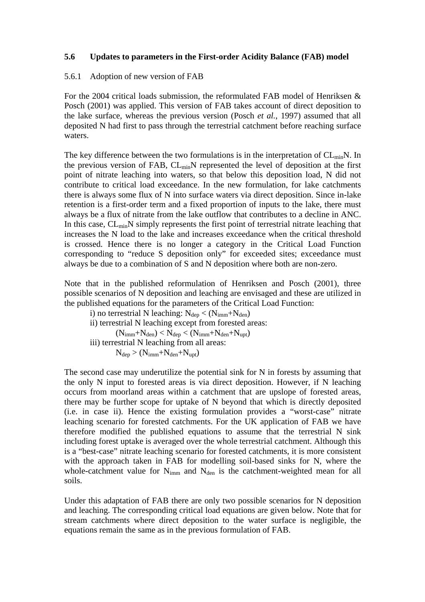### **5.6 Updates to parameters in the First-order Acidity Balance (FAB) model**

#### 5.6.1 Adoption of new version of FAB

For the 2004 critical loads submission, the reformulated FAB model of Henriksen & Posch (2001) was applied. This version of FAB takes account of direct deposition to the lake surface, whereas the previous version (Posch *et al.*, 1997) assumed that all deposited N had first to pass through the terrestrial catchment before reaching surface waters.

The key difference between the two formulations is in the interpretation of  $CL_{min}N$ . In the previous version of FAB, CL<sub>min</sub>N represented the level of deposition at the first point of nitrate leaching into waters, so that below this deposition load, N did not contribute to critical load exceedance. In the new formulation, for lake catchments there is always some flux of N into surface waters via direct deposition. Since in-lake retention is a first-order term and a fixed proportion of inputs to the lake, there must always be a flux of nitrate from the lake outflow that contributes to a decline in ANC. In this case, CL<sub>min</sub>N simply represents the first point of terrestrial nitrate leaching that increases the N load to the lake and increases exceedance when the critical threshold is crossed. Hence there is no longer a category in the Critical Load Function corresponding to "reduce S deposition only" for exceeded sites; exceedance must always be due to a combination of S and N deposition where both are non-zero.

Note that in the published reformulation of Henriksen and Posch (2001), three possible scenarios of N deposition and leaching are envisaged and these are utilized in the published equations for the parameters of the Critical Load Function:

i) no terrestrial N leaching:  $N_{dep} < (N_{imm} + N_{den})$ 

ii) terrestrial N leaching except from forested areas:

 $(N_{imm}+N_{den}) < N_{dep} < (N_{imm}+N_{den}+N_{upt})$ 

iii) terrestrial N leaching from all areas:

 $N_{dep} > (N_{imm}+N_{den}+N_{upt})$ 

The second case may underutilize the potential sink for N in forests by assuming that the only N input to forested areas is via direct deposition. However, if N leaching occurs from moorland areas within a catchment that are upslope of forested areas, there may be further scope for uptake of N beyond that which is directly deposited (i.e. in case ii). Hence the existing formulation provides a "worst-case" nitrate leaching scenario for forested catchments. For the UK application of FAB we have therefore modified the published equations to assume that the terrestrial N sink including forest uptake is averaged over the whole terrestrial catchment. Although this is a "best-case" nitrate leaching scenario for forested catchments, it is more consistent with the approach taken in FAB for modelling soil-based sinks for N, where the whole-catchment value for  $N_{\text{imm}}$  and  $N_{\text{den}}$  is the catchment-weighted mean for all soils.

Under this adaptation of FAB there are only two possible scenarios for N deposition and leaching. The corresponding critical load equations are given below. Note that for stream catchments where direct deposition to the water surface is negligible, the equations remain the same as in the previous formulation of FAB.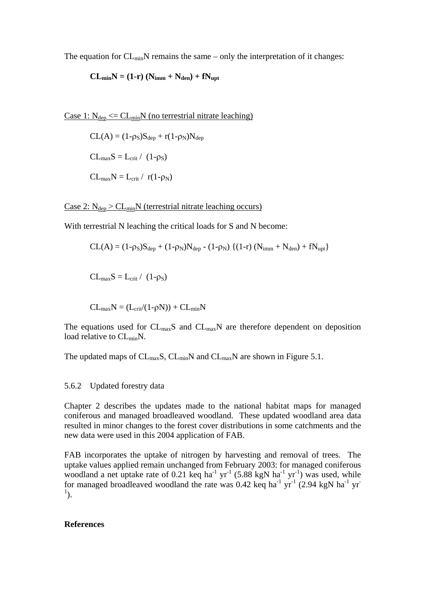The equation for  $CL_{min}N$  remains the same – only the interpretation of it changes:

$$
CL_{min}N = (1-r) (N_{imm} + N_{den}) + fN_{upt}
$$

Case 1:  $N_{den} \leq CL_{min}N$  (no terrestrial nitrate leaching)

 $CL(A) = (1-\rho_S)S_{dep} + r(1-\rho_N)N_{dep}$  $CL_{max}S = L_{crit} / (1-\rho_S)$  $CL_{max}N = L_{crit} / r(1-\rho_N)$ 

Case 2:  $N_{dep} > CL_{min}N$  (terrestrial nitrate leaching occurs)

With terrestrial N leaching the critical loads for S and N become:

$$
CL(A) = (1-\rho_S)S_{dep} + (1-\rho_N)N_{dep} - (1-\rho_N) \{ (1-r) \left(N_{imm} + N_{den}\right) + fN_{upt} \}
$$

 $CL_{max}S = L_{crit} / (1-\rho_S)$ 

 $CL_{max}N = (L_{crit}/(1-\rho N)) + CL_{min}N$ 

The equations used for  $CL_{max}S$  and  $CL_{max}N$  are therefore dependent on deposition load relative to CL<sub>min</sub>N.

The updated maps of  $CL_{max}S$ ,  $CL_{min}N$  and  $CL_{max}N$  are shown in Figure 5.1.

#### 5.6.2 Updated forestry data

Chapter 2 describes the updates made to the national habitat maps for managed coniferous and managed broadleaved woodland. These updated woodland area data resulted in minor changes to the forest cover distributions in some catchments and the new data were used in this 2004 application of FAB.

FAB incorporates the uptake of nitrogen by harvesting and removal of trees. The uptake values applied remain unchanged from February 2003: for managed coniferous woodland a net uptake rate of 0.21 keq ha<sup>-1</sup> yr<sup>-1</sup> (5.88 kgN ha<sup>-1</sup> yr<sup>-1</sup>) was used, while for managed broadleaved woodland the rate was  $0.42$  keq ha<sup>-1</sup> yr<sup>-1</sup> (2.94 kgN ha<sup>-1</sup> yr<sup>-1</sup>)  $\left( \frac{1}{2} \right)$ .

#### **References**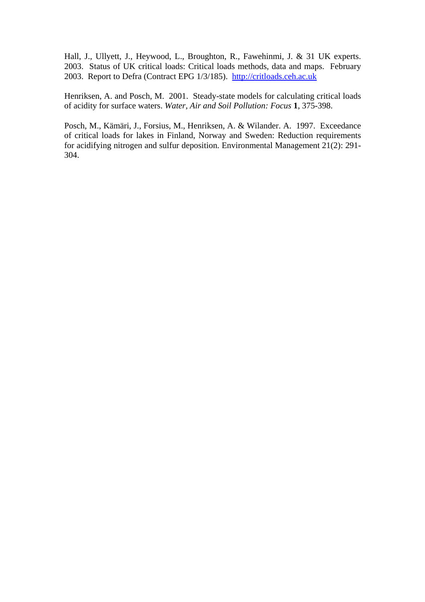Hall, J., Ullyett, J., Heywood, L., Broughton, R., Fawehinmi, J. & 31 UK experts. 2003. Status of UK critical loads: Critical loads methods, data and maps. February 2003. Report to Defra (Contract EPG 1/3/185). http://critloads.ceh.ac.uk

Henriksen, A. and Posch, M. 2001. Steady-state models for calculating critical loads of acidity for surface waters. *Water, Air and Soil Pollution: Focus* **1**, 375-398.

Posch, M., Kämäri, J., Forsius, M., Henriksen, A. & Wilander. A. 1997. Exceedance of critical loads for lakes in Finland, Norway and Sweden: Reduction requirements for acidifying nitrogen and sulfur deposition. Environmental Management 21(2): 291- 304.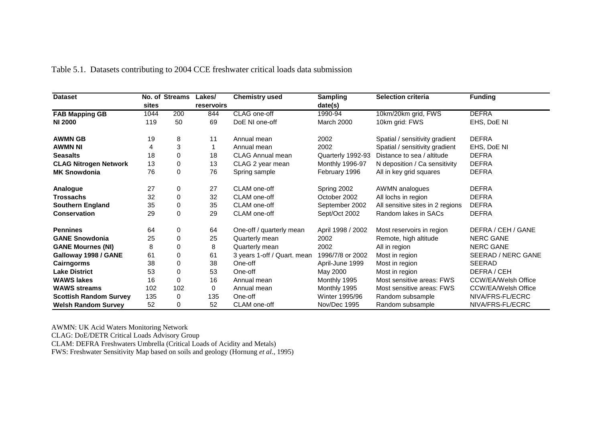| <b>Dataset</b>                |       | No. of Streams | Lakes/     | <b>Chemistry used</b>       | <b>Sampling</b>   | <b>Selection criteria</b>        | <b>Funding</b>             |
|-------------------------------|-------|----------------|------------|-----------------------------|-------------------|----------------------------------|----------------------------|
|                               | sites |                | reservoirs |                             | date(s)           |                                  |                            |
| <b>FAB Mapping GB</b>         | 1044  | 200            | 844        | CLAG one-off                | 1990-94           | 10km/20km grid, FWS              | <b>DEFRA</b>               |
| <b>NI 2000</b>                | 119   | 50             | 69         | DoE NI one-off              | March 2000        | 10km grid: FWS                   | EHS, DoE NI                |
| <b>AWMN GB</b>                | 19    | 8              | 11         | Annual mean                 | 2002              | Spatial / sensitivity gradient   | <b>DEFRA</b>               |
| <b>AWMN NI</b>                | 4     | 3              | 1          | Annual mean                 | 2002              | Spatial / sensitivity gradient   | EHS, DoE NI                |
| <b>Seasalts</b>               | 18    | $\Omega$       | 18         | <b>CLAG Annual mean</b>     | Quarterly 1992-93 | Distance to sea / altitude       | <b>DEFRA</b>               |
| <b>CLAG Nitrogen Network</b>  | 13    | 0              | 13         | CLAG 2 year mean            | Monthly 1996-97   | N deposition / Ca sensitivity    | <b>DEFRA</b>               |
| <b>MK Snowdonia</b>           | 76    | 0              | 76         | Spring sample               | February 1996     | All in key grid squares          | <b>DEFRA</b>               |
| Analogue                      | 27    | 0              | 27         | CLAM one-off                | Spring 2002       | AWMN analogues                   | <b>DEFRA</b>               |
| <b>Trossachs</b>              | 32    | $\Omega$       | 32         | CLAM one-off                | October 2002      | All lochs in region              | <b>DEFRA</b>               |
| <b>Southern England</b>       | 35    | $\Omega$       | 35         | CLAM one-off                | September 2002    | All sensitive sites in 2 regions | <b>DEFRA</b>               |
| <b>Conservation</b>           | 29    | 0              | 29         | CLAM one-off                | Sept/Oct 2002     | Random lakes in SACs             | <b>DEFRA</b>               |
| <b>Pennines</b>               | 64    | 0              | 64         | One-off / quarterly mean    | April 1998 / 2002 | Most reservoirs in region        | DEFRA / CEH / GANE         |
| <b>GANE Snowdonia</b>         | 25    | 0              | 25         | Quarterly mean              | 2002              | Remote, high altitude            | <b>NERC GANE</b>           |
| <b>GANE Mournes (NI)</b>      | 8     | 0              | 8          | Quarterly mean              | 2002              | All in region                    | <b>NERC GANE</b>           |
| Galloway 1998 / GANE          | 61    | 0              | 61         | 3 years 1-off / Quart. mean | 1996/7/8 or 2002  | Most in region                   | SEERAD / NERC GANE         |
| Cairngorms                    | 38    | 0              | 38         | One-off                     | April-June 1999   | Most in region                   | <b>SEERAD</b>              |
| <b>Lake District</b>          | 53    | 0              | 53         | One-off                     | May 2000          | Most in region                   | DEFRA / CEH                |
| <b>WAWS lakes</b>             | 16    | $\Omega$       | 16         | Annual mean                 | Monthly 1995      | Most sensitive areas: FWS        | <b>CCW/EA/Welsh Office</b> |
| <b>WAWS streams</b>           | 102   | 102            | 0          | Annual mean                 | Monthly 1995      | Most sensitive areas: FWS        | <b>CCW/EA/Welsh Office</b> |
| <b>Scottish Random Survey</b> | 135   | 0              | 135        | One-off                     | Winter 1995/96    | Random subsample                 | NIVA/FRS-FL/ECRC           |
| <b>Welsh Random Survey</b>    | 52    | 0              | 52         | CLAM one-off                | Nov/Dec 1995      | Random subsample                 | NIVA/FRS-FL/ECRC           |

Table 5.1. Datasets contributing to 2004 CCE freshwater critical loads data submission

AWMN: UK Acid Waters Monitoring Network CLAG: DoE/DETR Critical Loads Advisory Group CLAM: DEFRA Freshwaters Umbrella (Critical Loads of Acidity and Metals) FWS: Freshwater Sensitivity Map based on soils and geology (Hornung *et al.*, 1995)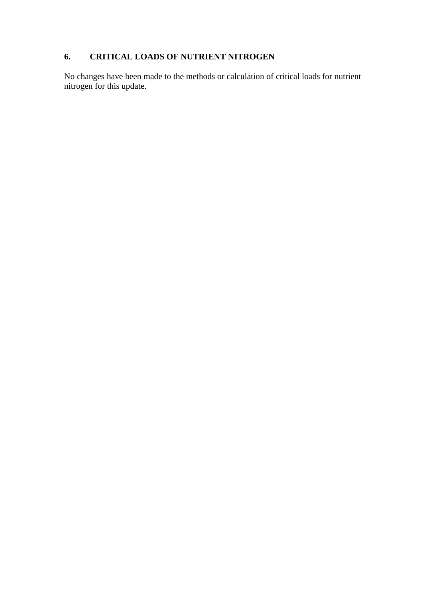# **6. CRITICAL LOADS OF NUTRIENT NITROGEN**

No changes have been made to the methods or calculation of critical loads for nutrient nitrogen for this update.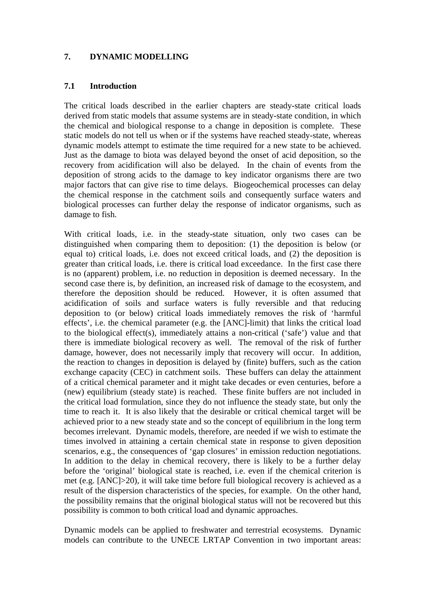### **7. DYNAMIC MODELLING**

#### **7.1 Introduction**

The critical loads described in the earlier chapters are steady-state critical loads derived from static models that assume systems are in steady-state condition, in which the chemical and biological response to a change in deposition is complete. These static models do not tell us when or if the systems have reached steady-state, whereas dynamic models attempt to estimate the time required for a new state to be achieved. Just as the damage to biota was delayed beyond the onset of acid deposition, so the recovery from acidification will also be delayed. In the chain of events from the deposition of strong acids to the damage to key indicator organisms there are two major factors that can give rise to time delays. Biogeochemical processes can delay the chemical response in the catchment soils and consequently surface waters and biological processes can further delay the response of indicator organisms, such as damage to fish.

With critical loads, i.e. in the steady-state situation, only two cases can be distinguished when comparing them to deposition: (1) the deposition is below (or equal to) critical loads, i.e. does not exceed critical loads, and (2) the deposition is greater than critical loads, i.e. there is critical load exceedance. In the first case there is no (apparent) problem, i.e. no reduction in deposition is deemed necessary. In the second case there is, by definition, an increased risk of damage to the ecosystem, and therefore the deposition should be reduced. However, it is often assumed that acidification of soils and surface waters is fully reversible and that reducing deposition to (or below) critical loads immediately removes the risk of 'harmful effects', i.e. the chemical parameter (e.g. the [ANC]-limit) that links the critical load to the biological effect(s), immediately attains a non-critical ('safe') value and that there is immediate biological recovery as well. The removal of the risk of further damage, however, does not necessarily imply that recovery will occur. In addition, the reaction to changes in deposition is delayed by (finite) buffers, such as the cation exchange capacity (CEC) in catchment soils. These buffers can delay the attainment of a critical chemical parameter and it might take decades or even centuries, before a (new) equilibrium (steady state) is reached. These finite buffers are not included in the critical load formulation, since they do not influence the steady state, but only the time to reach it. It is also likely that the desirable or critical chemical target will be achieved prior to a new steady state and so the concept of equilibrium in the long term becomes irrelevant. Dynamic models, therefore, are needed if we wish to estimate the times involved in attaining a certain chemical state in response to given deposition scenarios, e.g., the consequences of 'gap closures' in emission reduction negotiations. In addition to the delay in chemical recovery, there is likely to be a further delay before the 'original' biological state is reached, i.e. even if the chemical criterion is met (e.g. [ANC]>20), it will take time before full biological recovery is achieved as a result of the dispersion characteristics of the species, for example. On the other hand, the possibility remains that the original biological status will not be recovered but this possibility is common to both critical load and dynamic approaches.

Dynamic models can be applied to freshwater and terrestrial ecosystems. Dynamic models can contribute to the UNECE LRTAP Convention in two important areas: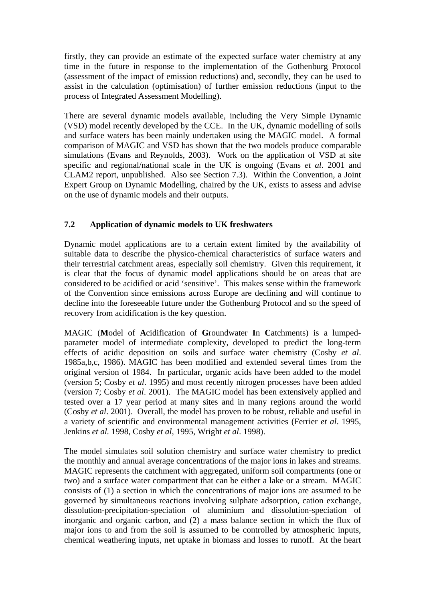firstly, they can provide an estimate of the expected surface water chemistry at any time in the future in response to the implementation of the Gothenburg Protocol (assessment of the impact of emission reductions) and, secondly, they can be used to assist in the calculation (optimisation) of further emission reductions (input to the process of Integrated Assessment Modelling).

There are several dynamic models available, including the Very Simple Dynamic (VSD) model recently developed by the CCE. In the UK, dynamic modelling of soils and surface waters has been mainly undertaken using the MAGIC model. A formal comparison of MAGIC and VSD has shown that the two models produce comparable simulations (Evans and Reynolds, 2003). Work on the application of VSD at site specific and regional/national scale in the UK is ongoing (Evans *et al*. 2001 and CLAM2 report, unpublished. Also see Section 7.3). Within the Convention, a Joint Expert Group on Dynamic Modelling, chaired by the UK, exists to assess and advise on the use of dynamic models and their outputs.

### **7.2 Application of dynamic models to UK freshwaters**

Dynamic model applications are to a certain extent limited by the availability of suitable data to describe the physico-chemical characteristics of surface waters and their terrestrial catchment areas, especially soil chemistry. Given this requirement, it is clear that the focus of dynamic model applications should be on areas that are considered to be acidified or acid 'sensitive'. This makes sense within the framework of the Convention since emissions across Europe are declining and will continue to decline into the foreseeable future under the Gothenburg Protocol and so the speed of recovery from acidification is the key question.

MAGIC (**M**odel of **A**cidification of **G**roundwater **I**n **C**atchments) is a lumpedparameter model of intermediate complexity, developed to predict the long-term effects of acidic deposition on soils and surface water chemistry (Cosby *et al*. 1985a,b,c, 1986). MAGIC has been modified and extended several times from the original version of 1984. In particular, organic acids have been added to the model (version 5; Cosby *et al*. 1995) and most recently nitrogen processes have been added (version 7; Cosby *et al*. 2001). The MAGIC model has been extensively applied and tested over a 17 year period at many sites and in many regions around the world (Cosby *et al*. 2001). Overall, the model has proven to be robust, reliable and useful in a variety of scientific and environmental management activities (Ferrier *et al*. 1995, Jenkins *et al.* 1998, Cosby *et al*, 1995, Wright *et al*. 1998).

The model simulates soil solution chemistry and surface water chemistry to predict the monthly and annual average concentrations of the major ions in lakes and streams. MAGIC represents the catchment with aggregated, uniform soil compartments (one or two) and a surface water compartment that can be either a lake or a stream. MAGIC consists of (1) a section in which the concentrations of major ions are assumed to be governed by simultaneous reactions involving sulphate adsorption, cation exchange, dissolution-precipitation-speciation of aluminium and dissolution-speciation of inorganic and organic carbon, and (2) a mass balance section in which the flux of major ions to and from the soil is assumed to be controlled by atmospheric inputs, chemical weathering inputs, net uptake in biomass and losses to runoff. At the heart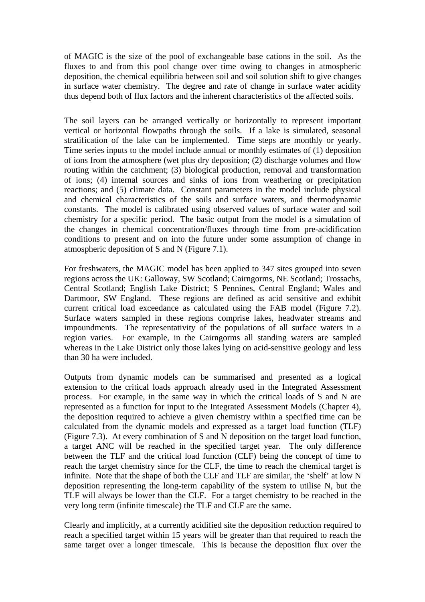of MAGIC is the size of the pool of exchangeable base cations in the soil. As the fluxes to and from this pool change over time owing to changes in atmospheric deposition, the chemical equilibria between soil and soil solution shift to give changes in surface water chemistry. The degree and rate of change in surface water acidity thus depend both of flux factors and the inherent characteristics of the affected soils.

The soil layers can be arranged vertically or horizontally to represent important vertical or horizontal flowpaths through the soils. If a lake is simulated, seasonal stratification of the lake can be implemented. Time steps are monthly or yearly. Time series inputs to the model include annual or monthly estimates of (1) deposition of ions from the atmosphere (wet plus dry deposition; (2) discharge volumes and flow routing within the catchment; (3) biological production, removal and transformation of ions; (4) internal sources and sinks of ions from weathering or precipitation reactions; and (5) climate data. Constant parameters in the model include physical and chemical characteristics of the soils and surface waters, and thermodynamic constants. The model is calibrated using observed values of surface water and soil chemistry for a specific period. The basic output from the model is a simulation of the changes in chemical concentration/fluxes through time from pre-acidification conditions to present and on into the future under some assumption of change in atmospheric deposition of S and N (Figure 7.1).

For freshwaters, the MAGIC model has been applied to 347 sites grouped into seven regions across the UK: Galloway, SW Scotland; Cairngorms, NE Scotland; Trossachs, Central Scotland; English Lake District; S Pennines, Central England; Wales and Dartmoor, SW England. These regions are defined as acid sensitive and exhibit current critical load exceedance as calculated using the FAB model (Figure 7.2). Surface waters sampled in these regions comprise lakes, headwater streams and impoundments. The representativity of the populations of all surface waters in a region varies. For example, in the Cairngorms all standing waters are sampled whereas in the Lake District only those lakes lying on acid-sensitive geology and less than 30 ha were included.

Outputs from dynamic models can be summarised and presented as a logical extension to the critical loads approach already used in the Integrated Assessment process. For example, in the same way in which the critical loads of S and N are represented as a function for input to the Integrated Assessment Models (Chapter 4), the deposition required to achieve a given chemistry within a specified time can be calculated from the dynamic models and expressed as a target load function (TLF) (Figure 7.3). At every combination of S and N deposition on the target load function, a target ANC will be reached in the specified target year. The only difference between the TLF and the critical load function (CLF) being the concept of time to reach the target chemistry since for the CLF, the time to reach the chemical target is infinite. Note that the shape of both the CLF and TLF are similar, the 'shelf' at low N deposition representing the long-term capability of the system to utilise N, but the TLF will always be lower than the CLF. For a target chemistry to be reached in the very long term (infinite timescale) the TLF and CLF are the same.

Clearly and implicitly, at a currently acidified site the deposition reduction required to reach a specified target within 15 years will be greater than that required to reach the same target over a longer timescale. This is because the deposition flux over the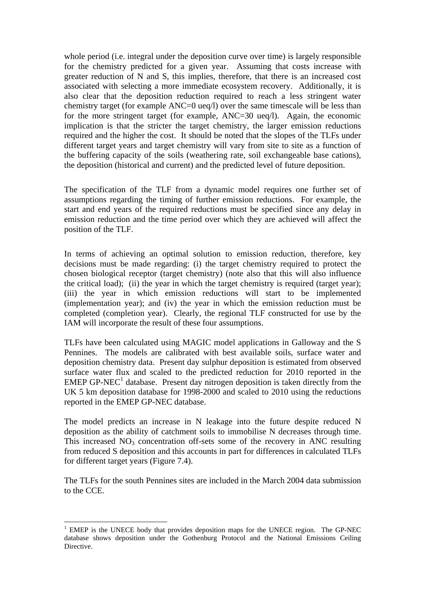whole period (i.e. integral under the deposition curve over time) is largely responsible for the chemistry predicted for a given year. Assuming that costs increase with greater reduction of N and S, this implies, therefore, that there is an increased cost associated with selecting a more immediate ecosystem recovery. Additionally, it is also clear that the deposition reduction required to reach a less stringent water chemistry target (for example ANC=0 ueq/l) over the same timescale will be less than for the more stringent target (for example, ANC=30 ueq/l). Again, the economic implication is that the stricter the target chemistry, the larger emission reductions required and the higher the cost. It should be noted that the slopes of the TLFs under different target years and target chemistry will vary from site to site as a function of the buffering capacity of the soils (weathering rate, soil exchangeable base cations), the deposition (historical and current) and the predicted level of future deposition.

The specification of the TLF from a dynamic model requires one further set of assumptions regarding the timing of further emission reductions. For example, the start and end years of the required reductions must be specified since any delay in emission reduction and the time period over which they are achieved will affect the position of the TLF.

In terms of achieving an optimal solution to emission reduction, therefore, key decisions must be made regarding: (i) the target chemistry required to protect the chosen biological receptor (target chemistry) (note also that this will also influence the critical load); (ii) the year in which the target chemistry is required (target year); (iii) the year in which emission reductions will start to be implemented (implementation year); and (iv) the year in which the emission reduction must be completed (completion year). Clearly, the regional TLF constructed for use by the IAM will incorporate the result of these four assumptions.

TLFs have been calculated using MAGIC model applications in Galloway and the S Pennines. The models are calibrated with best available soils, surface water and deposition chemistry data. Present day sulphur deposition is estimated from observed surface water flux and scaled to the predicted reduction for 2010 reported in the EMEP GP-NEC $<sup>1</sup>$  database. Present day nitrogen deposition is taken directly from the</sup> UK 5 km deposition database for 1998-2000 and scaled to 2010 using the reductions reported in the EMEP GP-NEC database.

The model predicts an increase in N leakage into the future despite reduced N deposition as the ability of catchment soils to immobilise N decreases through time. This increased  $NO<sub>3</sub>$  concentration off-sets some of the recovery in ANC resulting from reduced S deposition and this accounts in part for differences in calculated TLFs for different target years (Figure 7.4).

The TLFs for the south Pennines sites are included in the March 2004 data submission to the CCE.

 $\overline{a}$ 

<sup>&</sup>lt;sup>1</sup> EMEP is the UNECE body that provides deposition maps for the UNECE region. The GP-NEC database shows deposition under the Gothenburg Protocol and the National Emissions Ceiling Directive.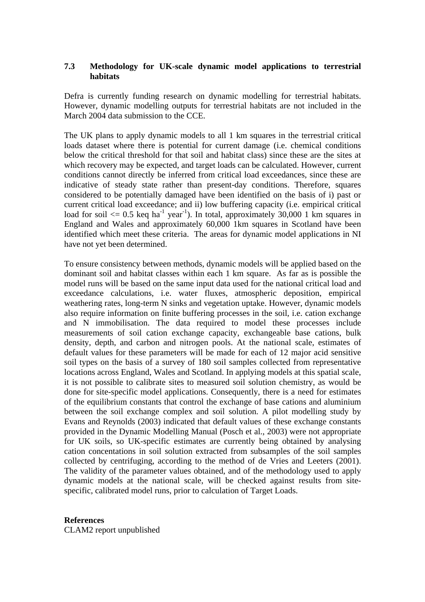### **7.3 Methodology for UK-scale dynamic model applications to terrestrial habitats**

Defra is currently funding research on dynamic modelling for terrestrial habitats. However, dynamic modelling outputs for terrestrial habitats are not included in the March 2004 data submission to the CCE.

The UK plans to apply dynamic models to all 1 km squares in the terrestrial critical loads dataset where there is potential for current damage (i.e. chemical conditions below the critical threshold for that soil and habitat class) since these are the sites at which recovery may be expected, and target loads can be calculated. However, current conditions cannot directly be inferred from critical load exceedances, since these are indicative of steady state rather than present-day conditions. Therefore, squares considered to be potentially damaged have been identified on the basis of i) past or current critical load exceedance; and ii) low buffering capacity (i.e. empirical critical load for soil  $\leq 0.5$  keq ha<sup>-1</sup> year<sup>-1</sup>). In total, approximately 30,000 1 km squares in England and Wales and approximately 60,000 1km squares in Scotland have been identified which meet these criteria. The areas for dynamic model applications in NI have not yet been determined.

To ensure consistency between methods, dynamic models will be applied based on the dominant soil and habitat classes within each 1 km square. As far as is possible the model runs will be based on the same input data used for the national critical load and exceedance calculations, i.e. water fluxes, atmospheric deposition, empirical weathering rates, long-term N sinks and vegetation uptake. However, dynamic models also require information on finite buffering processes in the soil, i.e. cation exchange and N immobilisation. The data required to model these processes include measurements of soil cation exchange capacity, exchangeable base cations, bulk density, depth, and carbon and nitrogen pools. At the national scale, estimates of default values for these parameters will be made for each of 12 major acid sensitive soil types on the basis of a survey of 180 soil samples collected from representative locations across England, Wales and Scotland. In applying models at this spatial scale, it is not possible to calibrate sites to measured soil solution chemistry, as would be done for site-specific model applications. Consequently, there is a need for estimates of the equilibrium constants that control the exchange of base cations and aluminium between the soil exchange complex and soil solution. A pilot modelling study by Evans and Reynolds (2003) indicated that default values of these exchange constants provided in the Dynamic Modelling Manual (Posch et al., 2003) were not appropriate for UK soils, so UK-specific estimates are currently being obtained by analysing cation concentations in soil solution extracted from subsamples of the soil samples collected by centrifuging, according to the method of de Vries and Leeters (2001). The validity of the parameter values obtained, and of the methodology used to apply dynamic models at the national scale, will be checked against results from sitespecific, calibrated model runs, prior to calculation of Target Loads.

#### **References**

CLAM2 report unpublished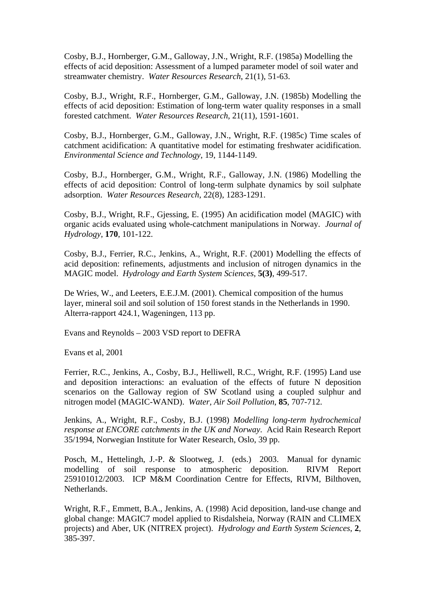Cosby, B.J., Hornberger, G.M., Galloway, J.N., Wright, R.F. (1985a) Modelling the effects of acid deposition: Assessment of a lumped parameter model of soil water and streamwater chemistry. *Water Resources Research*, 21(1), 51-63.

Cosby, B.J., Wright, R.F., Hornberger, G.M., Galloway, J.N. (1985b) Modelling the effects of acid deposition: Estimation of long-term water quality responses in a small forested catchment. *Water Resources Research*, 21(11), 1591-1601.

Cosby, B.J., Hornberger, G.M., Galloway, J.N., Wright, R.F. (1985c) Time scales of catchment acidification: A quantitative model for estimating freshwater acidification. *Environmental Science and Technology*, 19, 1144-1149.

Cosby, B.J., Hornberger, G.M., Wright, R.F., Galloway, J.N. (1986) Modelling the effects of acid deposition: Control of long-term sulphate dynamics by soil sulphate adsorption. *Water Resources Research*, 22(8), 1283-1291.

Cosby, B.J., Wright, R.F., Gjessing, E. (1995) An acidification model (MAGIC) with organic acids evaluated using whole-catchment manipulations in Norway. *Journal of Hydrology*, **170**, 101-122.

Cosby, B.J., Ferrier, R.C., Jenkins, A., Wright, R.F. (2001) Modelling the effects of acid deposition: refinements, adjustments and inclusion of nitrogen dynamics in the MAGIC model. *Hydrology and Earth System Sciences*, **5(3)**, 499-517.

De Wries, W., and Leeters, E.E.J.M. (2001). Chemical composition of the humus layer, mineral soil and soil solution of 150 forest stands in the Netherlands in 1990. Alterra-rapport 424.1, Wageningen, 113 pp.

Evans and Reynolds – 2003 VSD report to DEFRA

Evans et al, 2001

Ferrier, R.C., Jenkins, A., Cosby, B.J., Helliwell, R.C., Wright, R.F. (1995) Land use and deposition interactions: an evaluation of the effects of future N deposition scenarios on the Galloway region of SW Scotland using a coupled sulphur and nitrogen model (MAGIC-WAND). *Water, Air Soil Pollution*, **85**, 707-712.

Jenkins, A., Wright, R.F., Cosby, B.J. (1998) *Modelling long-term hydrochemical response at ENCORE catchments in the UK and Norway*. Acid Rain Research Report 35/1994, Norwegian Institute for Water Research, Oslo, 39 pp.

Posch, M., Hettelingh, J.-P. & Slootweg, J. (eds.) 2003. Manual for dynamic modelling of soil response to atmospheric deposition. RIVM Report 259101012/2003. ICP M&M Coordination Centre for Effects, RIVM, Bilthoven, Netherlands.

Wright, R.F., Emmett, B.A., Jenkins, A. (1998) Acid deposition, land-use change and global change: MAGIC7 model applied to Risdalsheia, Norway (RAIN and CLIMEX projects) and Aber, UK (NITREX project). *Hydrology and Earth System Sciences*, **2**, 385-397.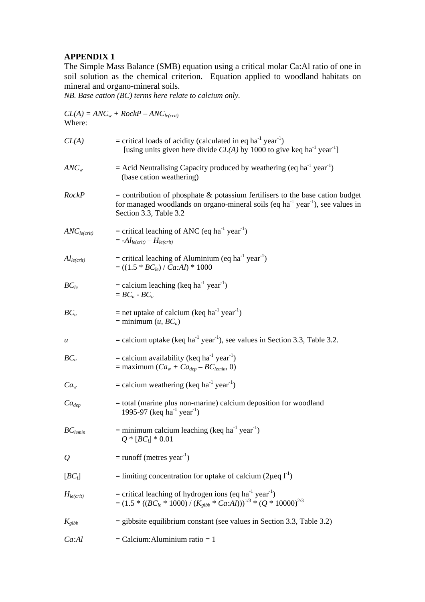#### **APPENDIX 1**

The Simple Mass Balance (SMB) equation using a critical molar Ca:Al ratio of one in soil solution as the chemical criterion. Equation applied to woodland habitats on mineral and organo-mineral soils.

*NB. Base cation (BC) terms here relate to calcium only.* 

| Where:                  | $CL(A) = ANC_w + RockP - ANC_{le(crit)}$                                                                                                                                                                        |
|-------------------------|-----------------------------------------------------------------------------------------------------------------------------------------------------------------------------------------------------------------|
| CL(A)                   | $=$ critical loads of acidity (calculated in eq ha <sup>-1</sup> year <sup>-1</sup> )<br>[using units given here divide $CL(A)$ by 1000 to give keq ha <sup>-1</sup> year <sup>-1</sup> ]                       |
| $ANC_w$                 | $=$ Acid Neutralising Capacity produced by weathering (eq ha <sup>-1</sup> year <sup>-1</sup> )<br>(base cation weathering)                                                                                     |
| RockP                   | $=$ contribution of phosphate $\&$ potassium fertilisers to the base cation budget<br>for managed woodlands on organo-mineral soils (eq $ha^{-1}$ year <sup>-1</sup> ), see values in<br>Section 3.3, Table 3.2 |
| ANC <sub>le(crit)</sub> | = critical leaching of ANC (eq ha <sup>-1</sup> year <sup>-1</sup> )<br>$= -A l_{le(crit)} - H_{le(crit)}$                                                                                                      |
| $Al_{le(crit)}$         | = critical leaching of Aluminium (eq ha <sup>-1</sup> year <sup>-1</sup> )<br>$= ((1.5 * BC_{le}) / Ca:AI) * 1000$                                                                                              |
| $BC_{le}$               | $=$ calcium leaching (keq ha <sup>-1</sup> year <sup>-1</sup> )<br>$= BC_a - BC_u$                                                                                                                              |
| $BC_u$                  | $=$ net uptake of calcium (keq ha <sup>-1</sup> year <sup>-1</sup> )<br>$=$ minimum $(u, BC_a)$                                                                                                                 |
| $\boldsymbol{u}$        | = calcium uptake (keq ha <sup>-1</sup> year <sup>-1</sup> ), see values in Section 3.3, Table 3.2.                                                                                                              |
| $BC_a$                  | = calcium availability (keq ha <sup>-1</sup> year <sup>-1</sup> )<br>$=$ maximum $(Ca_w + Ca_{dep} - BC_{lemin}, 0)$                                                                                            |
| Ca <sub>w</sub>         | $=$ calcium weathering (keq ha <sup>-1</sup> year <sup>-1</sup> )                                                                                                                                               |
| $Ca_{dep}$              | = total (marine plus non-marine) calcium deposition for woodland<br>1995-97 (keq ha <sup>-1</sup> year <sup>-1</sup> )                                                                                          |
| $BC_{lemin}$            | = minimum calcium leaching (keq ha <sup>-1</sup> year <sup>-1</sup> )<br>$Q * [BC_l] * 0.01$                                                                                                                    |
| $\varrho$               | $=$ runoff (metres year <sup>-1</sup> )                                                                                                                                                                         |
| $[BC_l]$                | = limiting concentration for uptake of calcium (2 $\mu$ eq l <sup>-1</sup> )                                                                                                                                    |
| $H_{le(crit)}$          | = critical leaching of hydrogen ions (eq ha <sup>-1</sup> year <sup>-1</sup> )<br>$=(1.5 * ((BC_{le} * 1000) / (K_{gibb} * Ca:AI)))^{1/3} * (Q * 10000)^{2/3}$                                                  |
| $K_{gibb}$              | $=$ gibbsite equilibrium constant (see values in Section 3.3, Table 3.2)                                                                                                                                        |
| Ca:Al                   | $=$ Calcium: Aluminium ratio $= 1$                                                                                                                                                                              |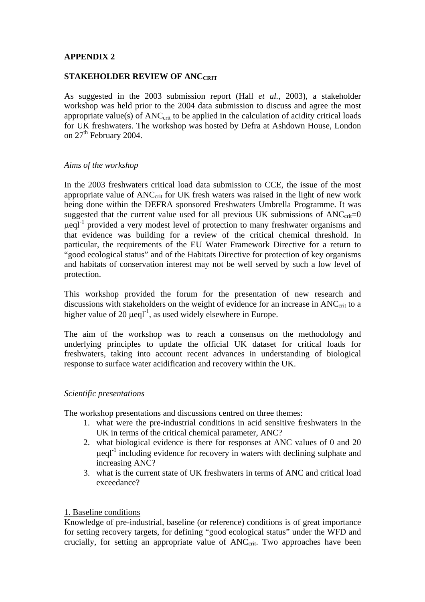### **APPENDIX 2**

#### **STAKEHOLDER REVIEW OF ANCCRIT**

As suggested in the 2003 submission report (Hall *et al.*, 2003), a stakeholder workshop was held prior to the 2004 data submission to discuss and agree the most appropriate value(s) of  $ANC<sub>crit</sub>$  to be applied in the calculation of acidity critical loads for UK freshwaters. The workshop was hosted by Defra at Ashdown House, London on 27<sup>th</sup> February 2004.

#### *Aims of the workshop*

In the 2003 freshwaters critical load data submission to CCE, the issue of the most appropriate value of  $ANC_{crit}$  for UK fresh waters was raised in the light of new work being done within the DEFRA sponsored Freshwaters Umbrella Programme. It was suggested that the current value used for all previous UK submissions of  $ANC_{\text{crit}}=0$  $\mu$ eql<sup>-1</sup> provided a very modest level of protection to many freshwater organisms and that evidence was building for a review of the critical chemical threshold. In particular, the requirements of the EU Water Framework Directive for a return to "good ecological status" and of the Habitats Directive for protection of key organisms and habitats of conservation interest may not be well served by such a low level of protection.

This workshop provided the forum for the presentation of new research and discussions with stakeholders on the weight of evidence for an increase in  $\text{ANC}_{\text{crit}}$  to a higher value of 20  $\mu$ eql<sup>-1</sup>, as used widely elsewhere in Europe.

The aim of the workshop was to reach a consensus on the methodology and underlying principles to update the official UK dataset for critical loads for freshwaters, taking into account recent advances in understanding of biological response to surface water acidification and recovery within the UK.

#### *Scientific presentations*

The workshop presentations and discussions centred on three themes:

- 1. what were the pre-industrial conditions in acid sensitive freshwaters in the UK in terms of the critical chemical parameter, ANC?
- 2. what biological evidence is there for responses at ANC values of 0 and 20  $\mu$ eql<sup>-1</sup> including evidence for recovery in waters with declining sulphate and increasing ANC?
- 3. what is the current state of UK freshwaters in terms of ANC and critical load exceedance?

#### 1. Baseline conditions

Knowledge of pre-industrial, baseline (or reference) conditions is of great importance for setting recovery targets, for defining "good ecological status" under the WFD and crucially, for setting an appropriate value of  $ANC<sub>crit</sub>$ . Two approaches have been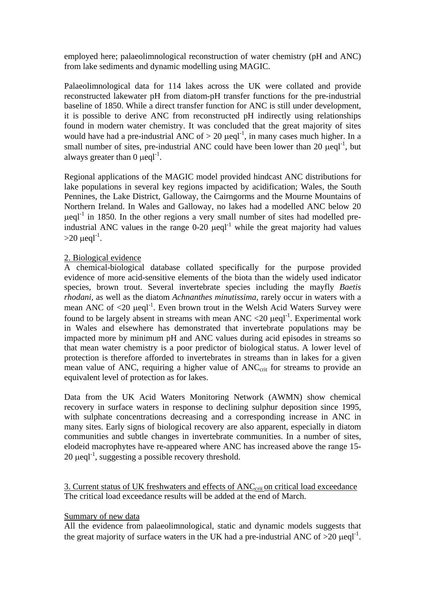employed here; palaeolimnological reconstruction of water chemistry (pH and ANC) from lake sediments and dynamic modelling using MAGIC.

Palaeolimnological data for 114 lakes across the UK were collated and provide reconstructed lakewater pH from diatom-pH transfer functions for the pre-industrial baseline of 1850. While a direct transfer function for ANC is still under development, it is possible to derive ANC from reconstructed pH indirectly using relationships found in modern water chemistry. It was concluded that the great majority of sites would have had a pre-industrial ANC of  $> 20 \mu$ eql<sup>-1</sup>, in many cases much higher. In a small number of sites, pre-industrial ANC could have been lower than 20  $\mu$ eql<sup>-1</sup>, but always greater than  $0 \text{ u} \text{e} \text{d}^{-1}$ .

Regional applications of the MAGIC model provided hindcast ANC distributions for lake populations in several key regions impacted by acidification; Wales, the South Pennines, the Lake District, Galloway, the Cairngorms and the Mourne Mountains of Northern Ireland. In Wales and Galloway, no lakes had a modelled ANC below 20  $\mu$ eql<sup>-1</sup> in 1850. In the other regions a very small number of sites had modelled preindustrial ANC values in the range  $0\n-20$   $\mu$ eql<sup>-1</sup> while the great majority had values  $>20 \mu$ eql<sup>-1</sup>.

### 2. Biological evidence

A chemical-biological database collated specifically for the purpose provided evidence of more acid-sensitive elements of the biota than the widely used indicator species, brown trout. Several invertebrate species including the mayfly *Baetis rhodani*, as well as the diatom *Achnanthes minutissima*, rarely occur in waters with a mean ANC of  $\langle 20 \text{ }\mu\text{eq}]$ <sup>-1</sup>. Even brown trout in the Welsh Acid Waters Survey were found to be largely absent in streams with mean ANC  $\langle 20 \ \mu \text{eq} \rangle$ <sup>-1</sup>. Experimental work in Wales and elsewhere has demonstrated that invertebrate populations may be impacted more by minimum pH and ANC values during acid episodes in streams so that mean water chemistry is a poor predictor of biological status. A lower level of protection is therefore afforded to invertebrates in streams than in lakes for a given mean value of ANC, requiring a higher value of  $ANC<sub>crit</sub>$  for streams to provide an equivalent level of protection as for lakes.

Data from the UK Acid Waters Monitoring Network (AWMN) show chemical recovery in surface waters in response to declining sulphur deposition since 1995, with sulphate concentrations decreasing and a corresponding increase in ANC in many sites. Early signs of biological recovery are also apparent, especially in diatom communities and subtle changes in invertebrate communities. In a number of sites, elodeid macrophytes have re-appeared where ANC has increased above the range 15-  $20 \mu$ eql<sup>-1</sup>, suggesting a possible recovery threshold.

3. Current status of UK freshwaters and effects of ANC<sub>crit</sub> on critical load exceedance The critical load exceedance results will be added at the end of March.

#### Summary of new data

All the evidence from palaeolimnological, static and dynamic models suggests that the great majority of surface waters in the UK had a pre-industrial ANC of  $>20$  µeql<sup>-1</sup>.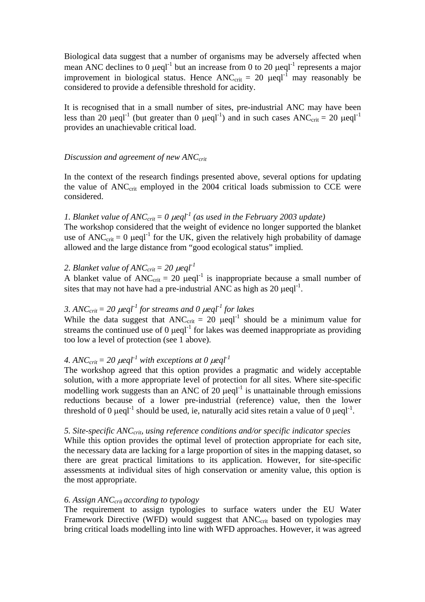Biological data suggest that a number of organisms may be adversely affected when mean ANC declines to 0  $\mu$ eql<sup>-1</sup> but an increase from 0 to 20  $\mu$ eql<sup>-1</sup> represents a major improvement in biological status. Hence  $ANC_{\text{crit}} = 20 \text{ }\mu\text{eql}^{-1}$  may reasonably be considered to provide a defensible threshold for acidity.

It is recognised that in a small number of sites, pre-industrial ANC may have been less than 20  $\mu$ eql<sup>-1</sup> (but greater than 0  $\mu$ eql<sup>-1</sup>) and in such cases ANC<sub>crit</sub> = 20  $\mu$ eql<sup>-1</sup> provides an unachievable critical load.

#### *Discussion and agreement of new ANCcrit*

In the context of the research findings presented above, several options for updating the value of  $\text{ANC}_{\text{crit}}$  employed in the 2004 critical loads submission to CCE were considered.

*1. Blanket value of ANC<sub>crit</sub> = 0*  $\mu$ *eql*<sup>-1</sup> (as used in the February 2003 update) The workshop considered that the weight of evidence no longer supported the blanket use of  $ANC_{\text{crit}} = 0$  µeql<sup>-1</sup> for the UK, given the relatively high probability of damage allowed and the large distance from "good ecological status" implied.

## 2. Blanket value of  $ANC_{crit} = 20 \mu$ eql<sup>-1</sup>

A blanket value of  $ANC_{\text{crit}} = 20 \text{ } \mu\text{eq}^{-1}$  is inappropriate because a small number of sites that may not have had a pre-industrial ANC as high as  $20 \mu$ eql<sup>-1</sup>.

# *3. ANC<sub>crit</sub>* = 20  $\mu$ eql<sup>-1</sup> for streams and 0  $\mu$ eql<sup>-1</sup> for lakes

While the data suggest that  $\text{ANC}_{\text{crit}} = 20$   $\mu$ eql<sup>-1</sup> should be a minimum value for streams the continued use of  $0 \mu$ eql<sup>-1</sup> for lakes was deemed inappropriate as providing too low a level of protection (see 1 above).

# 4. ANC<sub>crit</sub> = 20  $\mu$ eql<sup>-1</sup> with exceptions at 0  $\mu$ eql<sup>-1</sup>

The workshop agreed that this option provides a pragmatic and widely acceptable solution, with a more appropriate level of protection for all sites. Where site-specific modelling work suggests than an ANC of  $20 \mu$ eql<sup>-1</sup> is unattainable through emissions reductions because of a lower pre-industrial (reference) value, then the lower threshold of 0  $\mu$ eql<sup>-1</sup> should be used, ie, naturally acid sites retain a value of 0  $\mu$ eql<sup>-1</sup>.

*5. Site-specific ANCcrit, using reference conditions and/or specific indicator species*  While this option provides the optimal level of protection appropriate for each site, the necessary data are lacking for a large proportion of sites in the mapping dataset, so there are great practical limitations to its application. However, for site-specific assessments at individual sites of high conservation or amenity value, this option is the most appropriate.

## *6. Assign ANCcrit according to typology*

The requirement to assign typologies to surface waters under the EU Water Framework Directive (WFD) would suggest that ANC<sub>crit</sub> based on typologies may bring critical loads modelling into line with WFD approaches. However, it was agreed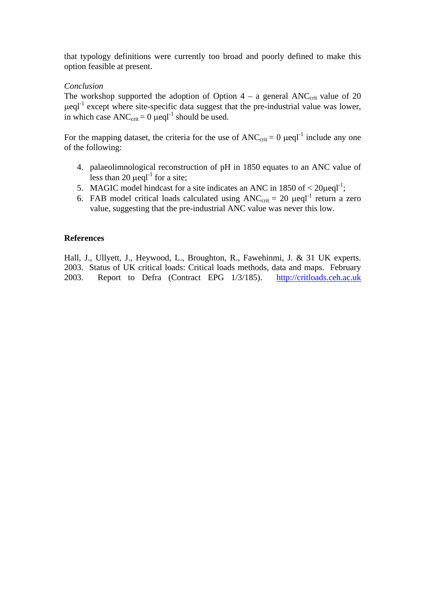that typology definitions were currently too broad and poorly defined to make this option feasible at present.

### *Conclusion*

The workshop supported the adoption of Option  $4 - a$  general ANC<sub>crit</sub> value of 20  $\mu$ eql<sup>-1</sup> except where site-specific data suggest that the pre-industrial value was lower, in which case ANC<sub>crit</sub> =  $0 \text{ }\mu$  eql<sup>-1</sup> should be used.

For the mapping dataset, the criteria for the use of  $ANC_{\text{crit}} = 0$   $\mu$ eql<sup>-1</sup> include any one of the following:

- 4. palaeolimnological reconstruction of pH in 1850 equates to an ANC value of less than 20  $\mu$ eql<sup>-1</sup> for a site;
- 5. MAGIC model hindcast for a site indicates an ANC in 1850 of  $\langle 20 \mu \text{eq} \text{L}^{\text{-1}}$ ;
- 6. FAB model critical loads calculated using  $ANC_{\text{crit}} = 20 \text{ }\mu\text{eql}^{-1}$  return a zero value, suggesting that the pre-industrial ANC value was never this low.

#### **References**

Hall, J., Ullyett, J., Heywood, L., Broughton, R., Fawehinmi, J. & 31 UK experts. 2003. Status of UK critical loads: Critical loads methods, data and maps. February 2003. Report to Defra (Contract EPG 1/3/185). http://critloads.ceh.ac.uk